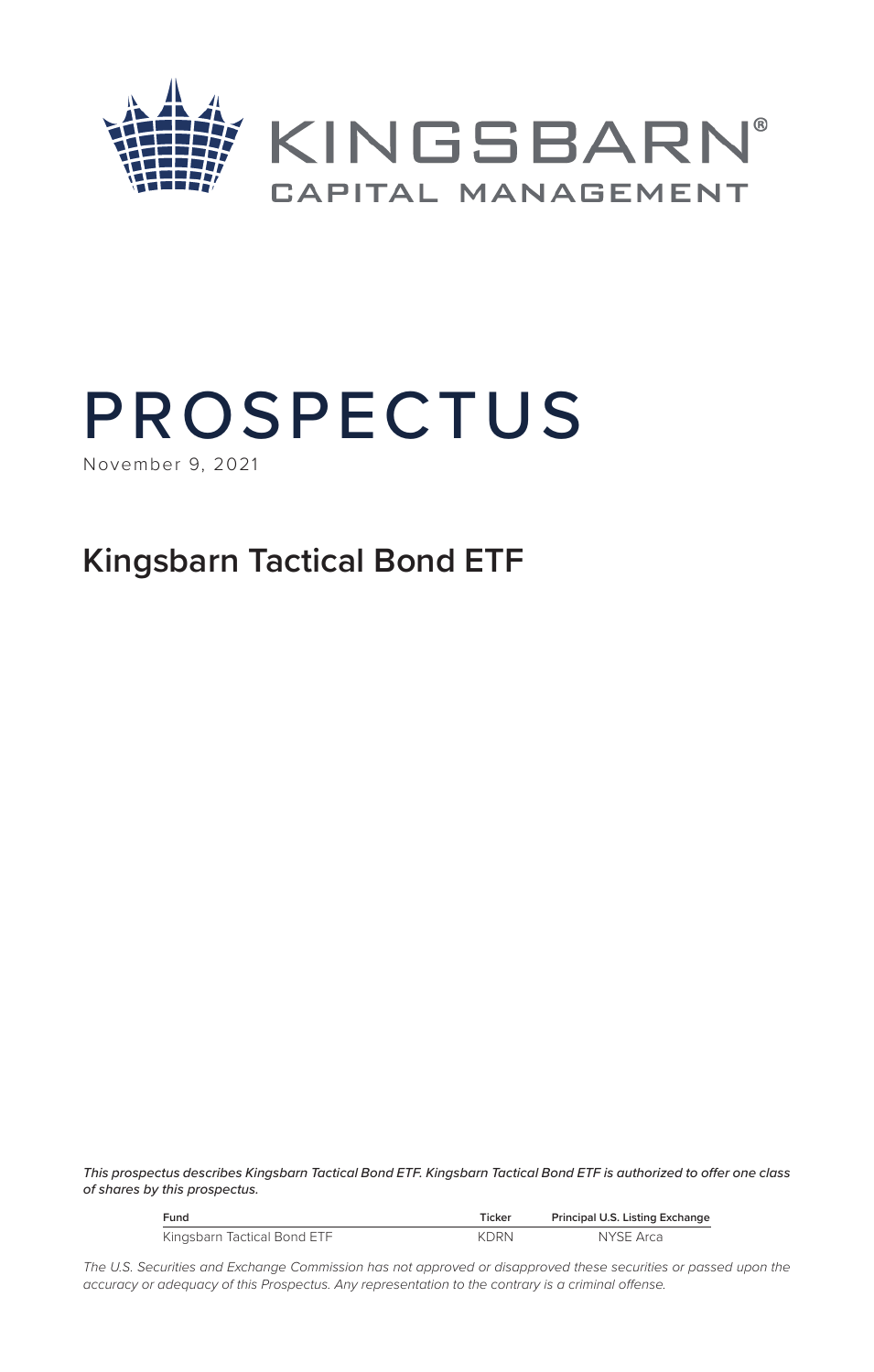

# PROSPECTUS

November 9, 2021

# **Kingsbarn Tactical Bond ETF**

*This prospectus describes Kingsbarn Tactical Bond ETF. Kingsbarn Tactical Bond ETF is authorized to offer one class of shares by this prospectus.*

| Fund                        | Ticker      | Principal U.S. Listing Exchange |
|-----------------------------|-------------|---------------------------------|
| Kingsbarn Tactical Bond ETF | <b>KDRN</b> | NYSE Arca                       |

The U.S. Securities and Exchange Commission has not approved or disapproved these securities or passed upon the *accuracy or adequacy of this Prospectus. Any representation to the contrary is a criminal offense.*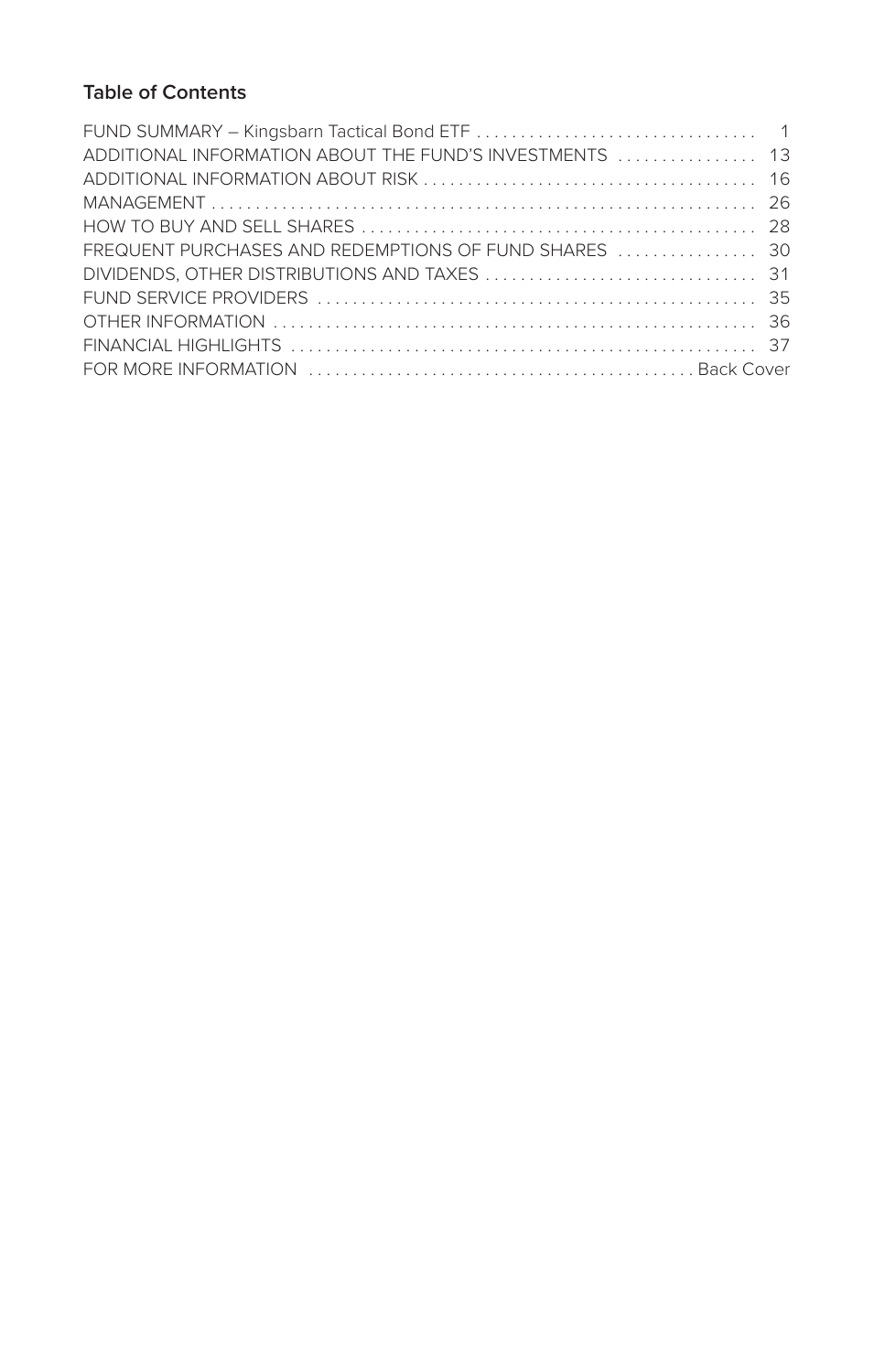# **Table of Contents**

| ADDITIONAL INFORMATION ABOUT THE FUND'S INVESTMENTS  13<br>FREQUENT PURCHASES AND REDEMPTIONS OF FUND SHARES  30 |  |
|------------------------------------------------------------------------------------------------------------------|--|
|                                                                                                                  |  |
|                                                                                                                  |  |
|                                                                                                                  |  |
|                                                                                                                  |  |
|                                                                                                                  |  |
|                                                                                                                  |  |
|                                                                                                                  |  |
|                                                                                                                  |  |
|                                                                                                                  |  |
|                                                                                                                  |  |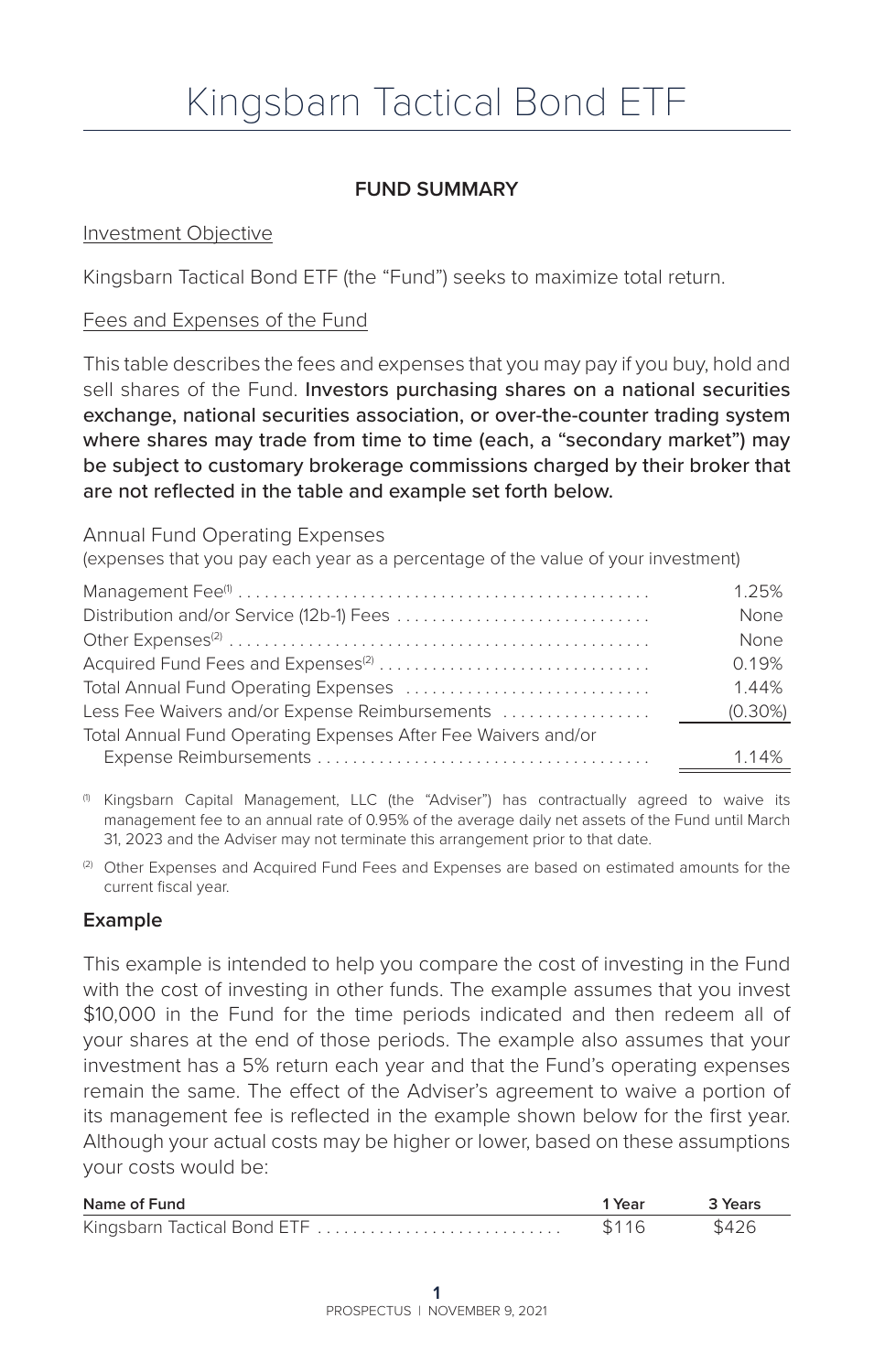# **FUND SUMMARY**

#### Investment Objective

Kingsbarn Tactical Bond ETF (the "Fund") seeks to maximize total return.

#### Fees and Expenses of the Fund

This table describes the fees and expenses that you may pay if you buy, hold and sell shares of the Fund. Investors purchasing shares on a national securities exchange, national securities association, or over-the-counter trading system where shares may trade from time to time (each, a "secondary market") may be subject to customary brokerage commissions charged by their broker that are not reflected in the table and example set forth below.

#### Annual Fund Operating Expenses

(expenses that you pay each year as a percentage of the value of your investment)

|                                                               | 1.25%       |
|---------------------------------------------------------------|-------------|
|                                                               | <b>None</b> |
|                                                               | <b>None</b> |
|                                                               | 0.19%       |
|                                                               | 144%        |
| Less Fee Waivers and/or Expense Reimbursements                | $(0.30\%)$  |
| Total Annual Fund Operating Expenses After Fee Waivers and/or |             |
|                                                               | 1.14%       |

(1) Kingsbarn Capital Management, LLC (the "Adviser") has contractually agreed to waive its management fee to an annual rate of 0.95% of the average daily net assets of the Fund until March 31, 2023 and the Adviser may not terminate this arrangement prior to that date.

(2) Other Expenses and Acquired Fund Fees and Expenses are based on estimated amounts for the current fiscal year.

#### **Example**

This example is intended to help you compare the cost of investing in the Fund with the cost of investing in other funds. The example assumes that you invest \$10,000 in the Fund for the time periods indicated and then redeem all of your shares at the end of those periods. The example also assumes that your investment has a 5% return each year and that the Fund's operating expenses remain the same. The effect of the Adviser's agreement to waive a portion of its management fee is reflected in the example shown below for the first year. Although your actual costs may be higher or lower, based on these assumptions your costs would be:

| Name of Fund                | 1 Year | 3 Years |
|-----------------------------|--------|---------|
| Kingsbarn Tactical Bond ETF |        | \$426   |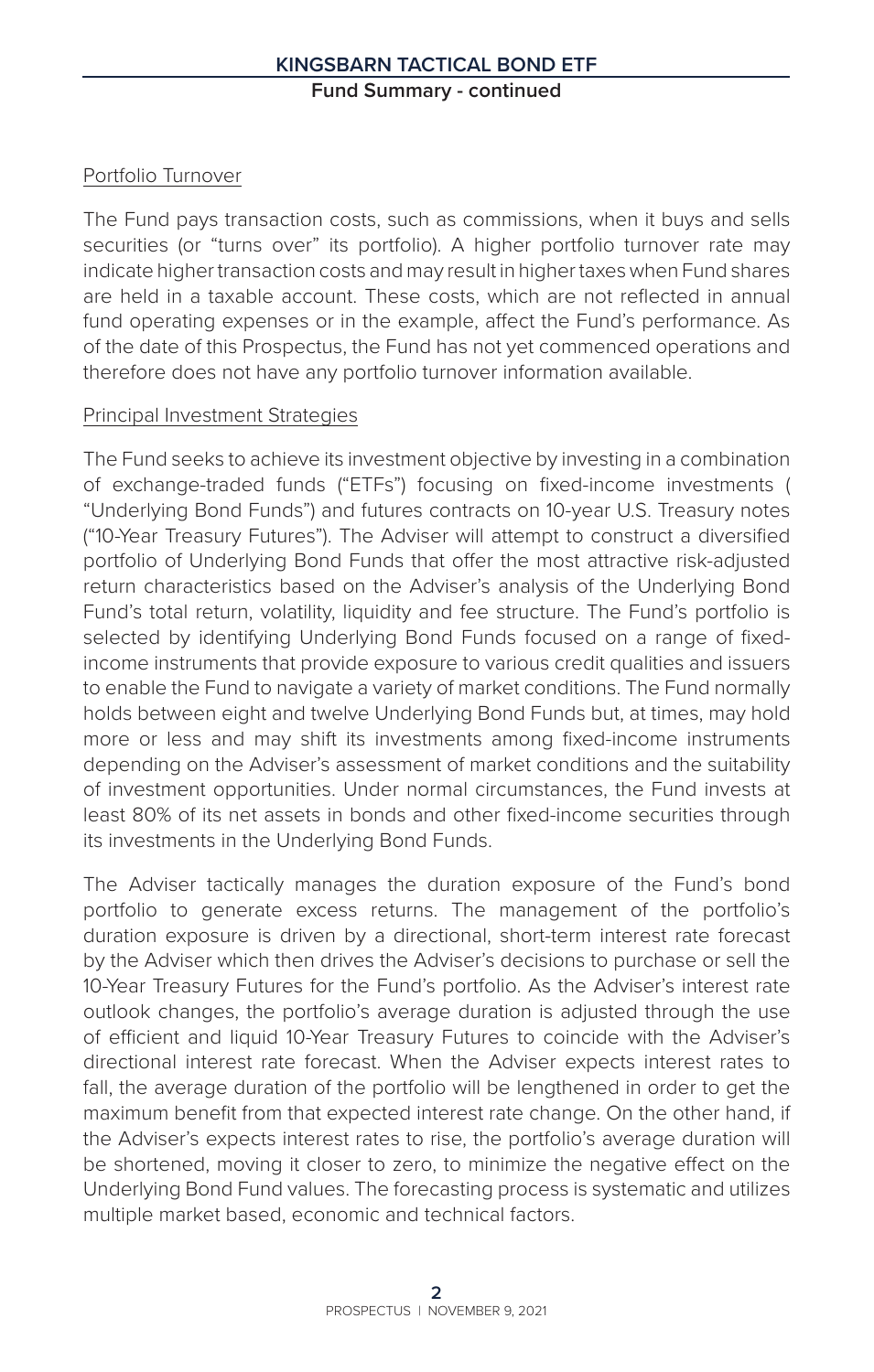# Portfolio Turnover

The Fund pays transaction costs, such as commissions, when it buys and sells securities (or "turns over" its portfolio). A higher portfolio turnover rate may indicate higher transaction costs and may result in higher taxes when Fund shares are held in a taxable account. These costs, which are not reflected in annual fund operating expenses or in the example, affect the Fund's performance. As of the date of this Prospectus, the Fund has not yet commenced operations and therefore does not have any portfolio turnover information available.

#### Principal Investment Strategies

The Fund seeks to achieve its investment objective by investing in a combination of exchange-traded funds ("ETFs") focusing on fixed-income investments ( "Underlying Bond Funds") and futures contracts on 10-year U.S. Treasury notes ("10-Year Treasury Futures"). The Adviser will attempt to construct a diversified portfolio of Underlying Bond Funds that offer the most attractive risk-adjusted return characteristics based on the Adviser's analysis of the Underlying Bond Fund's total return, volatility, liquidity and fee structure. The Fund's portfolio is selected by identifying Underlying Bond Funds focused on a range of fixedincome instruments that provide exposure to various credit qualities and issuers to enable the Fund to navigate a variety of market conditions. The Fund normally holds between eight and twelve Underlying Bond Funds but, at times, may hold more or less and may shift its investments among fixed-income instruments depending on the Adviser's assessment of market conditions and the suitability of investment opportunities. Under normal circumstances, the Fund invests at least 80% of its net assets in bonds and other fixed-income securities through its investments in the Underlying Bond Funds.

The Adviser tactically manages the duration exposure of the Fund's bond portfolio to generate excess returns. The management of the portfolio's duration exposure is driven by a directional, short-term interest rate forecast by the Adviser which then drives the Adviser's decisions to purchase or sell the 10-Year Treasury Futures for the Fund's portfolio. As the Adviser's interest rate outlook changes, the portfolio's average duration is adjusted through the use of efficient and liquid 10-Year Treasury Futures to coincide with the Adviser's directional interest rate forecast. When the Adviser expects interest rates to fall, the average duration of the portfolio will be lengthened in order to get the maximum benefit from that expected interest rate change. On the other hand, if the Adviser's expects interest rates to rise, the portfolio's average duration will be shortened, moving it closer to zero, to minimize the negative effect on the Underlying Bond Fund values. The forecasting process is systematic and utilizes multiple market based, economic and technical factors.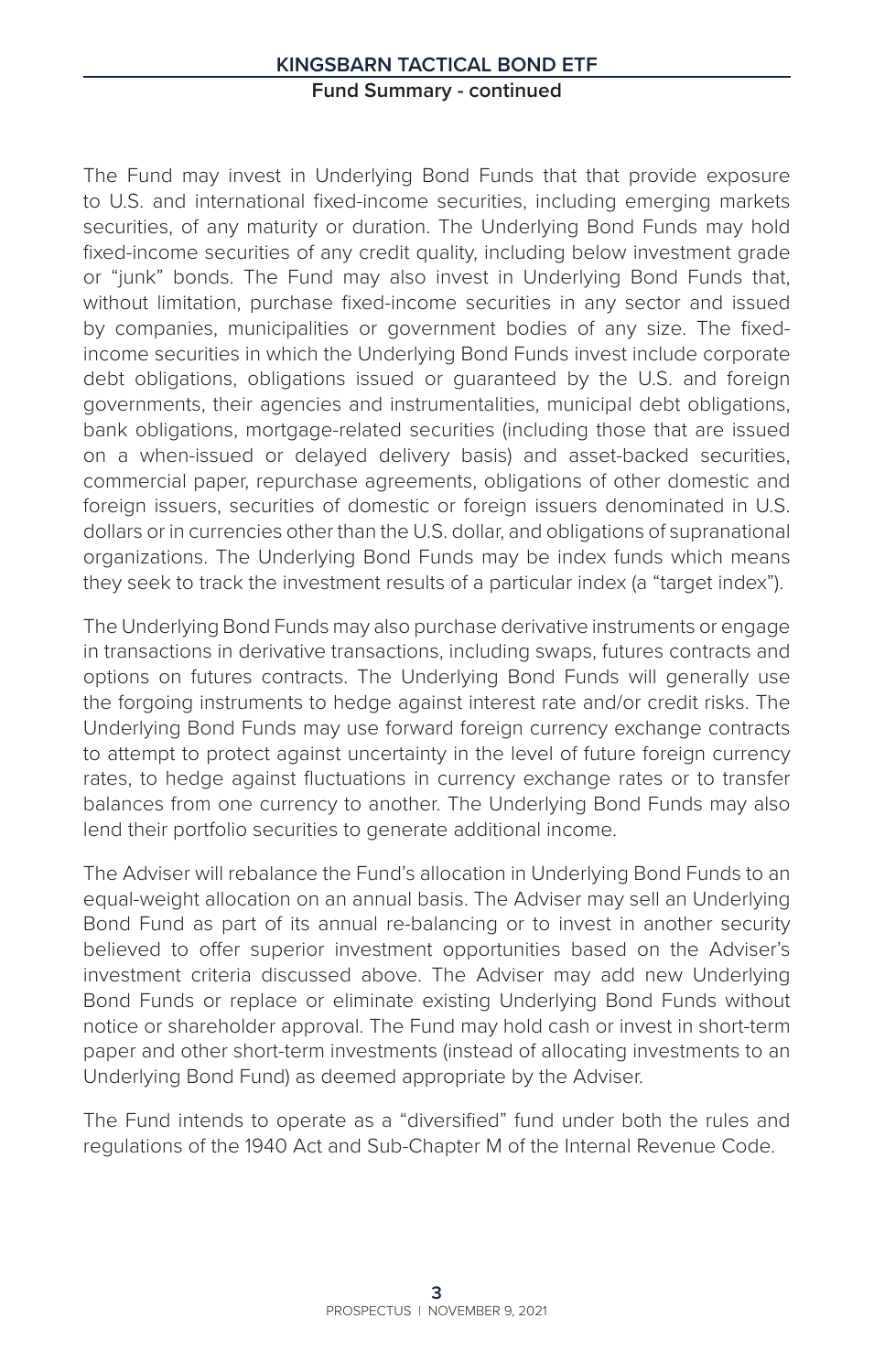The Fund may invest in Underlying Bond Funds that that provide exposure to U.S. and international fixed-income securities, including emerging markets securities, of any maturity or duration. The Underlying Bond Funds may hold fixed-income securities of any credit quality, including below investment grade or "junk" bonds. The Fund may also invest in Underlying Bond Funds that, without limitation, purchase fixed-income securities in any sector and issued by companies, municipalities or government bodies of any size. The fixedincome securities in which the Underlying Bond Funds invest include corporate debt obligations, obligations issued or guaranteed by the U.S. and foreign governments, their agencies and instrumentalities, municipal debt obligations, bank obligations, mortgage-related securities (including those that are issued on a when-issued or delayed delivery basis) and asset-backed securities, commercial paper, repurchase agreements, obligations of other domestic and foreign issuers, securities of domestic or foreign issuers denominated in U.S. dollars or in currencies other than the U.S. dollar, and obligations of supranational organizations. The Underlying Bond Funds may be index funds which means they seek to track the investment results of a particular index (a "target index").

The Underlying Bond Funds may also purchase derivative instruments or engage in transactions in derivative transactions, including swaps, futures contracts and options on futures contracts. The Underlying Bond Funds will generally use the forgoing instruments to hedge against interest rate and/or credit risks. The Underlying Bond Funds may use forward foreign currency exchange contracts to attempt to protect against uncertainty in the level of future foreign currency rates, to hedge against fluctuations in currency exchange rates or to transfer balances from one currency to another. The Underlying Bond Funds may also lend their portfolio securities to generate additional income.

The Adviser will rebalance the Fund's allocation in Underlying Bond Funds to an equal-weight allocation on an annual basis. The Adviser may sell an Underlying Bond Fund as part of its annual re-balancing or to invest in another security believed to offer superior investment opportunities based on the Adviser's investment criteria discussed above. The Adviser may add new Underlying Bond Funds or replace or eliminate existing Underlying Bond Funds without notice or shareholder approval. The Fund may hold cash or invest in short-term paper and other short-term investments (instead of allocating investments to an Underlying Bond Fund) as deemed appropriate by the Adviser.

The Fund intends to operate as a "diversified" fund under both the rules and regulations of the 1940 Act and Sub-Chapter M of the Internal Revenue Code.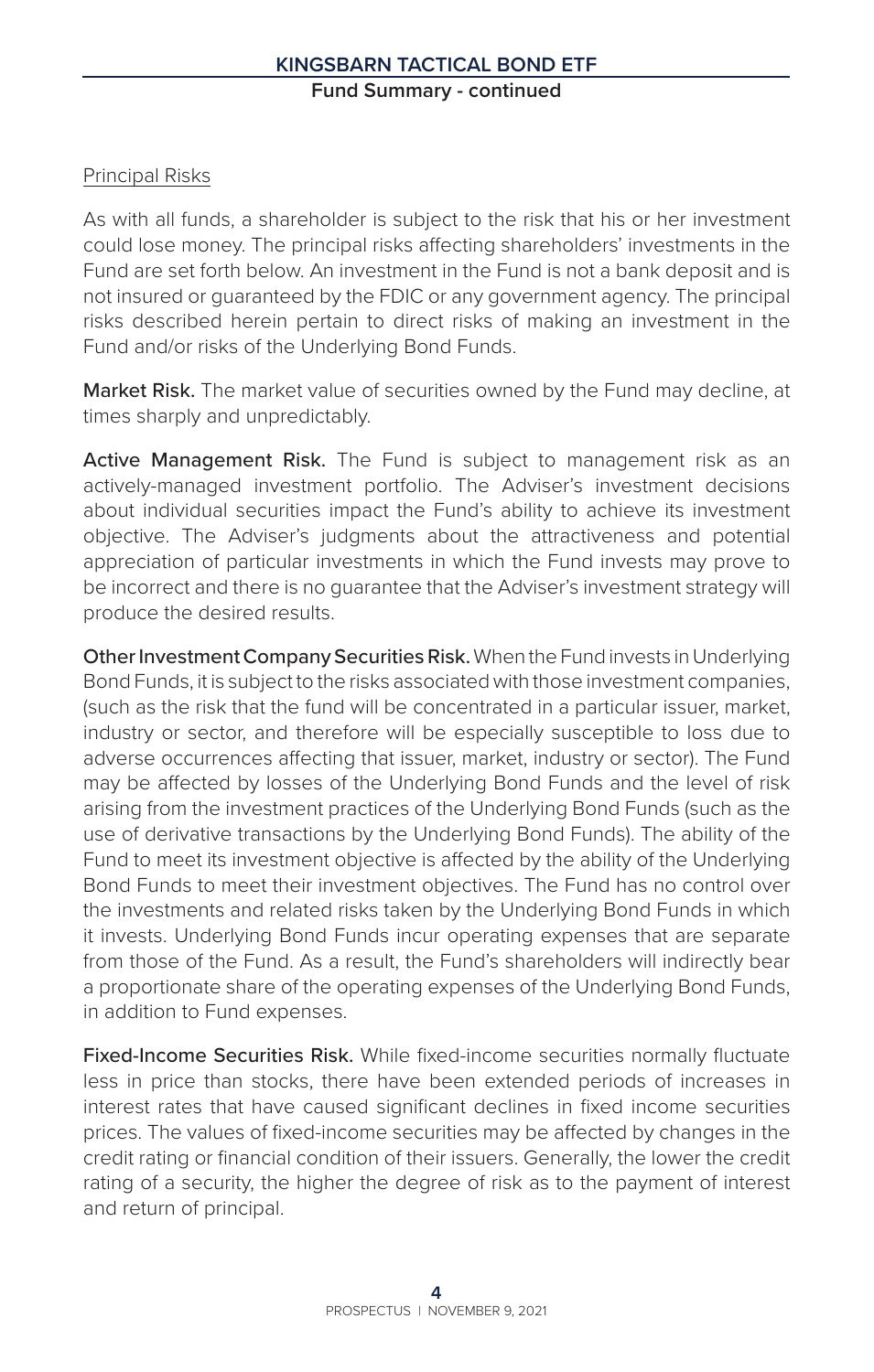# Principal Risks

As with all funds, a shareholder is subject to the risk that his or her investment could lose money. The principal risks affecting shareholders' investments in the Fund are set forth below. An investment in the Fund is not a bank deposit and is not insured or guaranteed by the FDIC or any government agency. The principal risks described herein pertain to direct risks of making an investment in the Fund and/or risks of the Underlying Bond Funds.

Market Risk. The market value of securities owned by the Fund may decline, at times sharply and unpredictably.

Active Management Risk. The Fund is subject to management risk as an actively-managed investment portfolio. The Adviser's investment decisions about individual securities impact the Fund's ability to achieve its investment objective. The Adviser's judgments about the attractiveness and potential appreciation of particular investments in which the Fund invests may prove to be incorrect and there is no guarantee that the Adviser's investment strategy will produce the desired results.

Other Investment Company Securities Risk. When the Fund invests in Underlying Bond Funds, it is subject to the risks associated with those investment companies, (such as the risk that the fund will be concentrated in a particular issuer, market, industry or sector, and therefore will be especially susceptible to loss due to adverse occurrences affecting that issuer, market, industry or sector). The Fund may be affected by losses of the Underlying Bond Funds and the level of risk arising from the investment practices of the Underlying Bond Funds (such as the use of derivative transactions by the Underlying Bond Funds). The ability of the Fund to meet its investment objective is affected by the ability of the Underlying Bond Funds to meet their investment objectives. The Fund has no control over the investments and related risks taken by the Underlying Bond Funds in which it invests. Underlying Bond Funds incur operating expenses that are separate from those of the Fund. As a result, the Fund's shareholders will indirectly bear a proportionate share of the operating expenses of the Underlying Bond Funds, in addition to Fund expenses.

Fixed-Income Securities Risk. While fixed-income securities normally fluctuate less in price than stocks, there have been extended periods of increases in interest rates that have caused significant declines in fixed income securities prices. The values of fixed-income securities may be affected by changes in the credit rating or financial condition of their issuers. Generally, the lower the credit rating of a security, the higher the degree of risk as to the payment of interest and return of principal.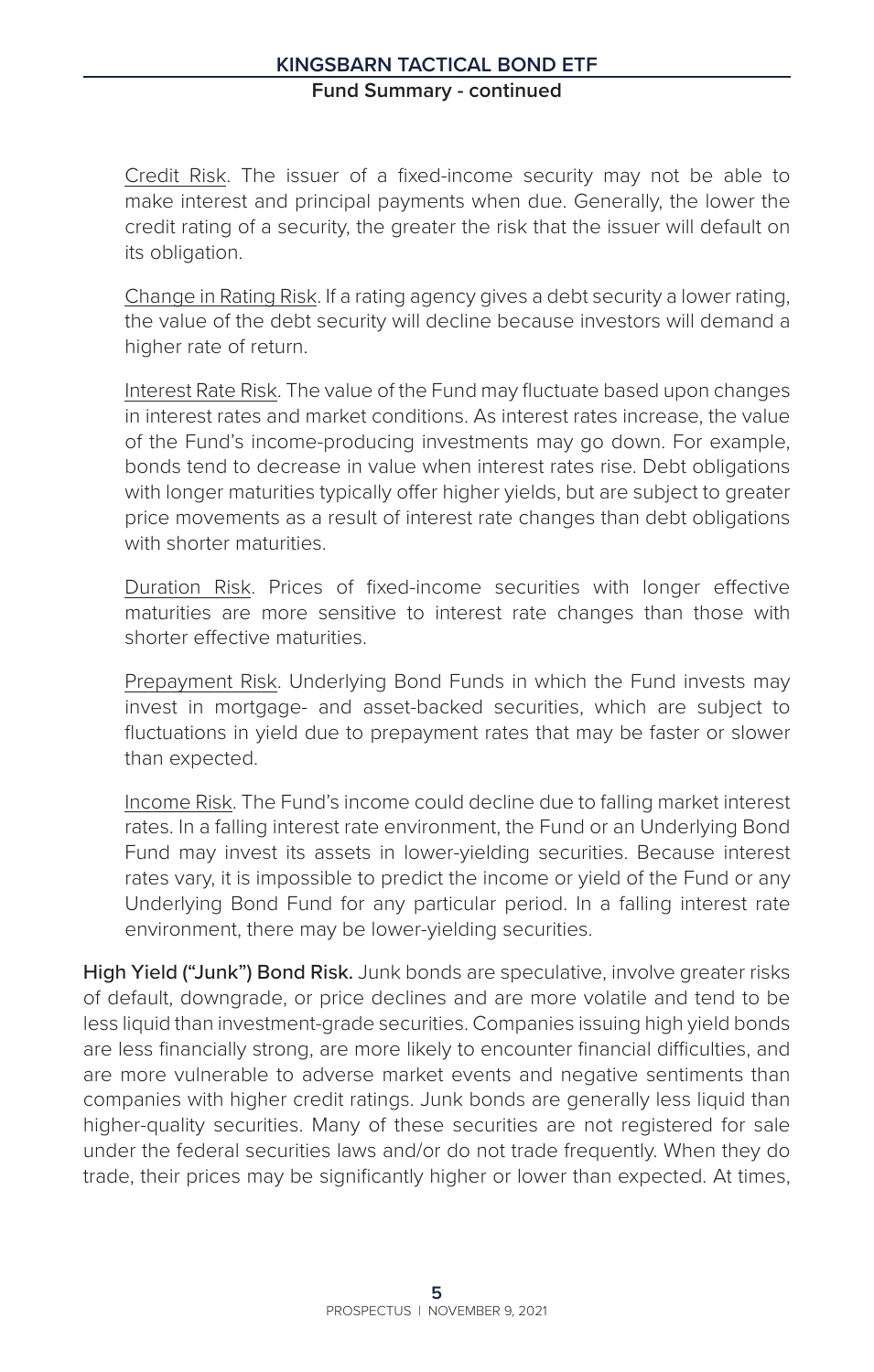Credit Risk. The issuer of a fixed-income security may not be able to make interest and principal payments when due. Generally, the lower the credit rating of a security, the greater the risk that the issuer will default on its obligation.

Change in Rating Risk. If a rating agency gives a debt security a lower rating, the value of the debt security will decline because investors will demand a higher rate of return.

Interest Rate Risk. The value of the Fund may fluctuate based upon changes in interest rates and market conditions. As interest rates increase, the value of the Fund's income-producing investments may go down. For example, bonds tend to decrease in value when interest rates rise. Debt obligations with longer maturities typically offer higher yields, but are subject to greater price movements as a result of interest rate changes than debt obligations with shorter maturities

Duration Risk. Prices of fixed-income securities with longer effective maturities are more sensitive to interest rate changes than those with shorter effective maturities.

Prepayment Risk. Underlying Bond Funds in which the Fund invests may invest in mortgage- and asset-backed securities, which are subject to fluctuations in yield due to prepayment rates that may be faster or slower than expected.

Income Risk. The Fund's income could decline due to falling market interest rates. In a falling interest rate environment, the Fund or an Underlying Bond Fund may invest its assets in lower-yielding securities. Because interest rates vary, it is impossible to predict the income or yield of the Fund or any Underlying Bond Fund for any particular period. In a falling interest rate environment, there may be lower-yielding securities.

High Yield ("Junk") Bond Risk. Junk bonds are speculative, involve greater risks of default, downgrade, or price declines and are more volatile and tend to be less liquid than investment-grade securities. Companies issuing high yield bonds are less financially strong, are more likely to encounter financial difficulties, and are more vulnerable to adverse market events and negative sentiments than companies with higher credit ratings. Junk bonds are generally less liquid than higher-quality securities. Many of these securities are not registered for sale under the federal securities laws and/or do not trade frequently. When they do trade, their prices may be significantly higher or lower than expected. At times,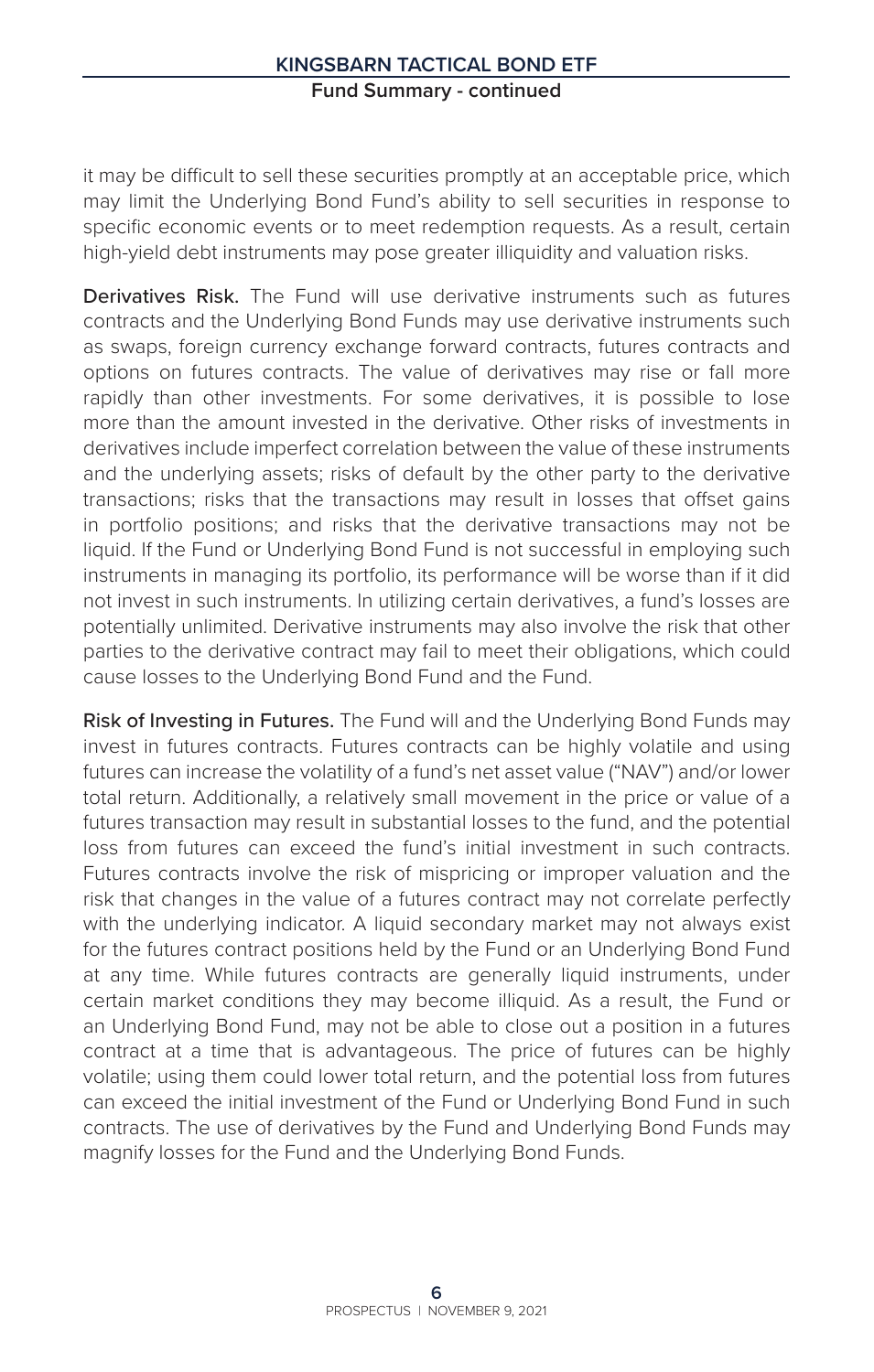it may be difficult to sell these securities promptly at an acceptable price, which may limit the Underlying Bond Fund's ability to sell securities in response to specific economic events or to meet redemption requests. As a result, certain high-yield debt instruments may pose greater illiquidity and valuation risks.

Derivatives Risk. The Fund will use derivative instruments such as futures contracts and the Underlying Bond Funds may use derivative instruments such as swaps, foreign currency exchange forward contracts, futures contracts and options on futures contracts. The value of derivatives may rise or fall more rapidly than other investments. For some derivatives, it is possible to lose more than the amount invested in the derivative. Other risks of investments in derivatives include imperfect correlation between the value of these instruments and the underlying assets; risks of default by the other party to the derivative transactions; risks that the transactions may result in losses that offset gains in portfolio positions; and risks that the derivative transactions may not be liquid. If the Fund or Underlying Bond Fund is not successful in employing such instruments in managing its portfolio, its performance will be worse than if it did not invest in such instruments. In utilizing certain derivatives, a fund's losses are potentially unlimited. Derivative instruments may also involve the risk that other parties to the derivative contract may fail to meet their obligations, which could cause losses to the Underlying Bond Fund and the Fund.

Risk of Investing in Futures. The Fund will and the Underlying Bond Funds may invest in futures contracts. Futures contracts can be highly volatile and using futures can increase the volatility of a fund's net asset value ("NAV") and/or lower total return. Additionally, a relatively small movement in the price or value of a futures transaction may result in substantial losses to the fund, and the potential loss from futures can exceed the fund's initial investment in such contracts. Futures contracts involve the risk of mispricing or improper valuation and the risk that changes in the value of a futures contract may not correlate perfectly with the underlying indicator. A liquid secondary market may not always exist for the futures contract positions held by the Fund or an Underlying Bond Fund at any time. While futures contracts are generally liquid instruments, under certain market conditions they may become illiquid. As a result, the Fund or an Underlying Bond Fund, may not be able to close out a position in a futures contract at a time that is advantageous. The price of futures can be highly volatile; using them could lower total return, and the potential loss from futures can exceed the initial investment of the Fund or Underlying Bond Fund in such contracts. The use of derivatives by the Fund and Underlying Bond Funds may magnify losses for the Fund and the Underlying Bond Funds.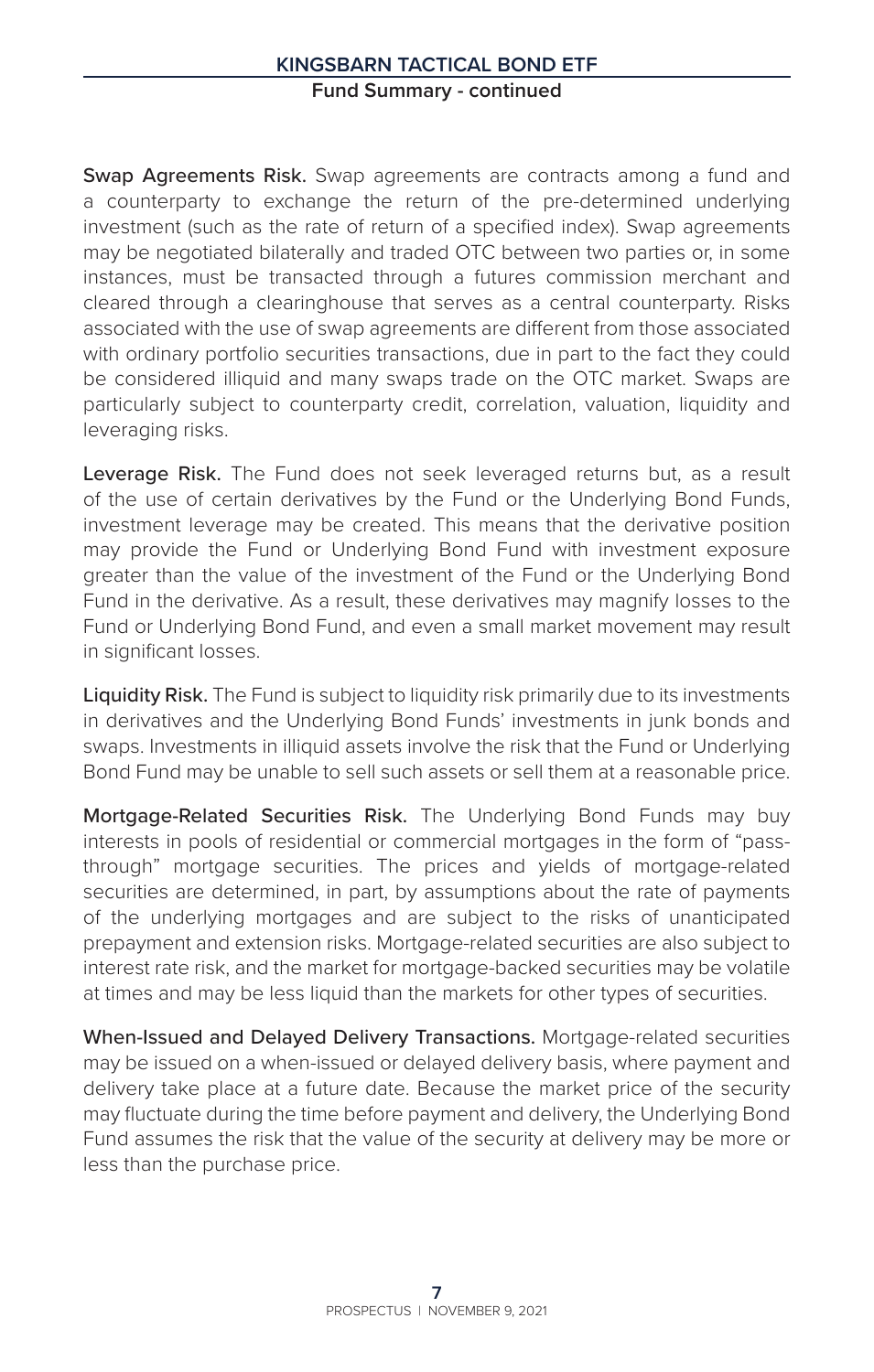Swap Agreements Risk. Swap agreements are contracts among a fund and a counterparty to exchange the return of the pre-determined underlying investment (such as the rate of return of a specified index). Swap agreements may be negotiated bilaterally and traded OTC between two parties or, in some instances, must be transacted through a futures commission merchant and cleared through a clearinghouse that serves as a central counterparty. Risks associated with the use of swap agreements are different from those associated with ordinary portfolio securities transactions, due in part to the fact they could be considered illiquid and many swaps trade on the OTC market. Swaps are particularly subject to counterparty credit, correlation, valuation, liquidity and leveraging risks.

Leverage Risk. The Fund does not seek leveraged returns but, as a result of the use of certain derivatives by the Fund or the Underlying Bond Funds, investment leverage may be created. This means that the derivative position may provide the Fund or Underlying Bond Fund with investment exposure greater than the value of the investment of the Fund or the Underlying Bond Fund in the derivative. As a result, these derivatives may magnify losses to the Fund or Underlying Bond Fund, and even a small market movement may result in significant losses.

Liquidity Risk. The Fund is subject to liquidity risk primarily due to its investments in derivatives and the Underlying Bond Funds' investments in junk bonds and swaps. Investments in illiquid assets involve the risk that the Fund or Underlying Bond Fund may be unable to sell such assets or sell them at a reasonable price.

Mortgage-Related Securities Risk. The Underlying Bond Funds may buy interests in pools of residential or commercial mortgages in the form of "passthrough" mortgage securities. The prices and yields of mortgage-related securities are determined, in part, by assumptions about the rate of payments of the underlying mortgages and are subject to the risks of unanticipated prepayment and extension risks. Mortgage-related securities are also subject to interest rate risk, and the market for mortgage-backed securities may be volatile at times and may be less liquid than the markets for other types of securities.

When-Issued and Delayed Delivery Transactions. Mortgage-related securities may be issued on a when-issued or delayed delivery basis, where payment and delivery take place at a future date. Because the market price of the security may fluctuate during the time before payment and delivery, the Underlying Bond Fund assumes the risk that the value of the security at delivery may be more or less than the purchase price.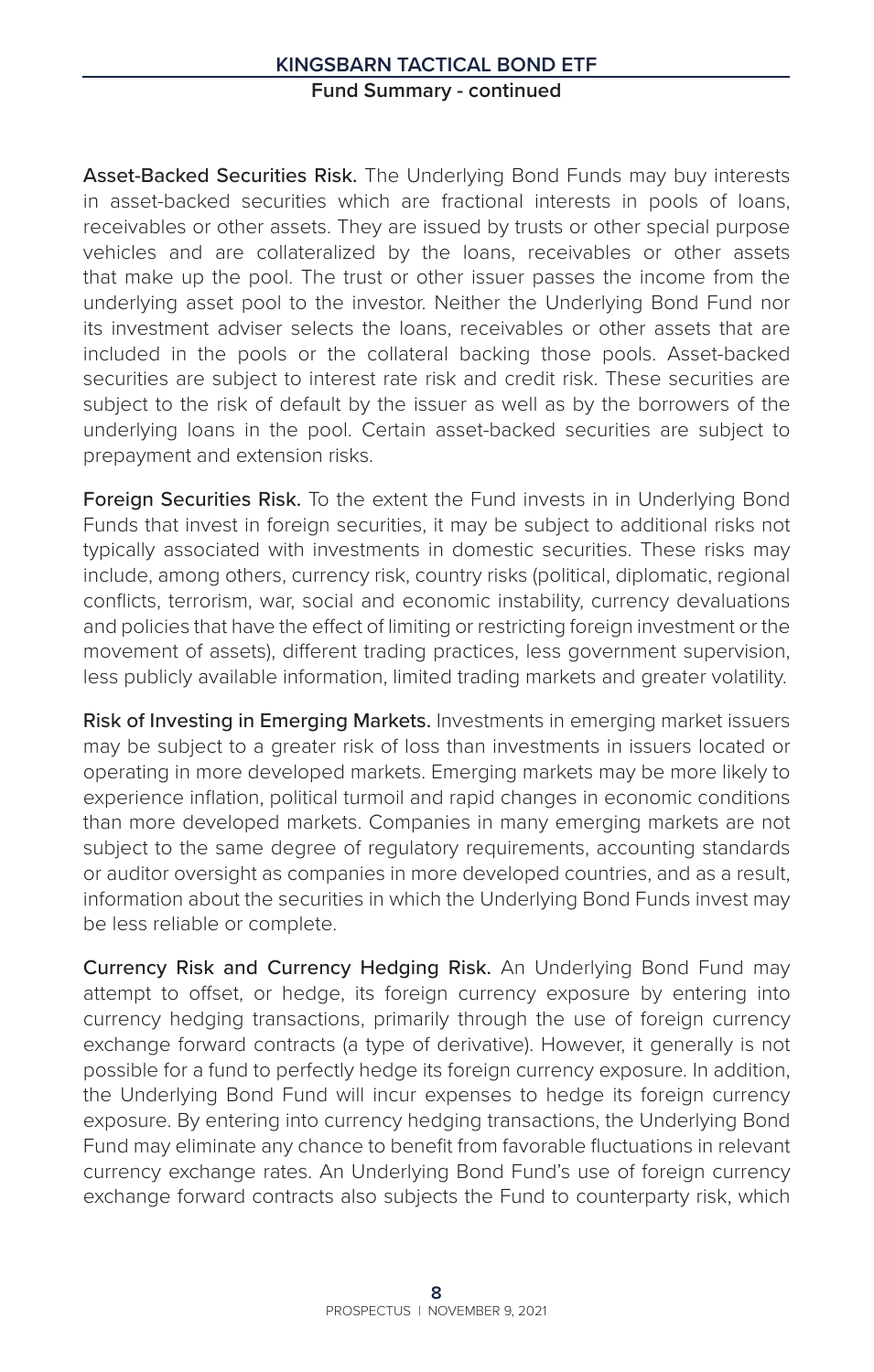Asset-Backed Securities Risk. The Underlying Bond Funds may buy interests in asset-backed securities which are fractional interests in pools of loans, receivables or other assets. They are issued by trusts or other special purpose vehicles and are collateralized by the loans, receivables or other assets that make up the pool. The trust or other issuer passes the income from the underlying asset pool to the investor. Neither the Underlying Bond Fund nor its investment adviser selects the loans, receivables or other assets that are included in the pools or the collateral backing those pools. Asset-backed securities are subject to interest rate risk and credit risk. These securities are subject to the risk of default by the issuer as well as by the borrowers of the underlying loans in the pool. Certain asset-backed securities are subject to prepayment and extension risks.

Foreign Securities Risk. To the extent the Fund invests in in Underlying Bond Funds that invest in foreign securities, it may be subject to additional risks not typically associated with investments in domestic securities. These risks may include, among others, currency risk, country risks (political, diplomatic, regional conflicts, terrorism, war, social and economic instability, currency devaluations and policies that have the effect of limiting or restricting foreign investment or the movement of assets), different trading practices, less government supervision, less publicly available information, limited trading markets and greater volatility.

Risk of Investing in Emerging Markets. Investments in emerging market issuers may be subject to a greater risk of loss than investments in issuers located or operating in more developed markets. Emerging markets may be more likely to experience inflation, political turmoil and rapid changes in economic conditions than more developed markets. Companies in many emerging markets are not subject to the same degree of regulatory requirements, accounting standards or auditor oversight as companies in more developed countries, and as a result, information about the securities in which the Underlying Bond Funds invest may be less reliable or complete.

Currency Risk and Currency Hedging Risk. An Underlying Bond Fund may attempt to offset, or hedge, its foreign currency exposure by entering into currency hedging transactions, primarily through the use of foreign currency exchange forward contracts (a type of derivative). However, it generally is not possible for a fund to perfectly hedge its foreign currency exposure. In addition, the Underlying Bond Fund will incur expenses to hedge its foreign currency exposure. By entering into currency hedging transactions, the Underlying Bond Fund may eliminate any chance to benefit from favorable fluctuations in relevant currency exchange rates. An Underlying Bond Fund's use of foreign currency exchange forward contracts also subjects the Fund to counterparty risk, which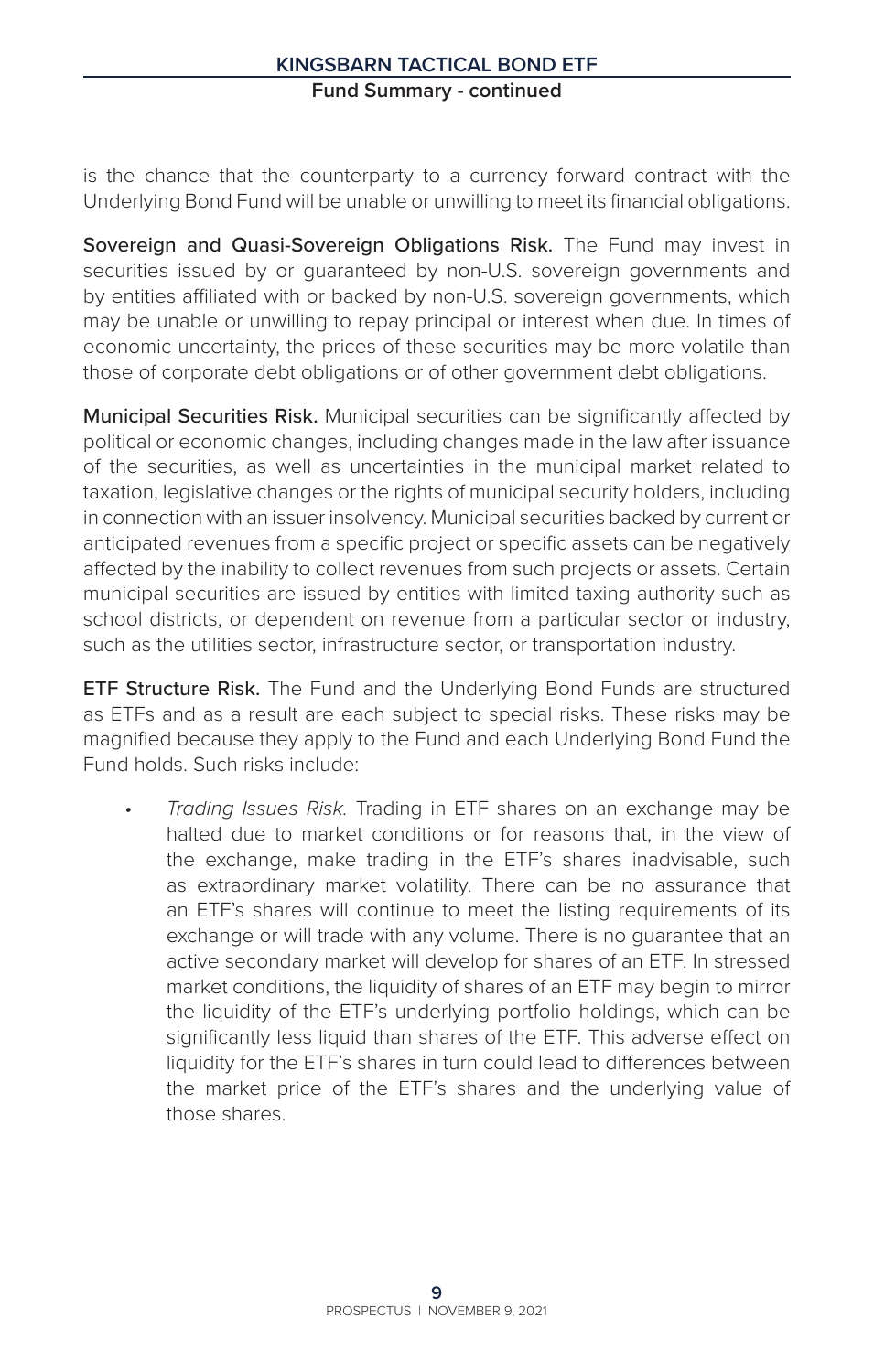is the chance that the counterparty to a currency forward contract with the Underlying Bond Fund will be unable or unwilling to meet its financial obligations.

Sovereign and Quasi-Sovereign Obligations Risk. The Fund may invest in securities issued by or guaranteed by non-U.S. sovereign governments and by entities affiliated with or backed by non-U.S. sovereign governments, which may be unable or unwilling to repay principal or interest when due. In times of economic uncertainty, the prices of these securities may be more volatile than those of corporate debt obligations or of other government debt obligations.

Municipal Securities Risk. Municipal securities can be significantly affected by political or economic changes, including changes made in the law after issuance of the securities, as well as uncertainties in the municipal market related to taxation, legislative changes or the rights of municipal security holders, including in connection with an issuer insolvency. Municipal securities backed by current or anticipated revenues from a specific project or specific assets can be negatively affected by the inability to collect revenues from such projects or assets. Certain municipal securities are issued by entities with limited taxing authority such as school districts, or dependent on revenue from a particular sector or industry, such as the utilities sector, infrastructure sector, or transportation industry.

**ETF Structure Risk.** The Fund and the Underlying Bond Funds are structured as ETFs and as a result are each subject to special risks. These risks may be magnified because they apply to the Fund and each Underlying Bond Fund the Fund holds. Such risks include:

*• Trading Issues Risk.* Trading in ETF shares on an exchange may be halted due to market conditions or for reasons that, in the view of the exchange, make trading in the ETF's shares inadvisable, such as extraordinary market volatility. There can be no assurance that an ETF's shares will continue to meet the listing requirements of its exchange or will trade with any volume. There is no guarantee that an active secondary market will develop for shares of an ETF. In stressed market conditions, the liquidity of shares of an ETF may begin to mirror the liquidity of the ETF's underlying portfolio holdings, which can be significantly less liquid than shares of the ETF. This adverse effect on liquidity for the ETF's shares in turn could lead to differences between the market price of the ETF's shares and the underlying value of those shares.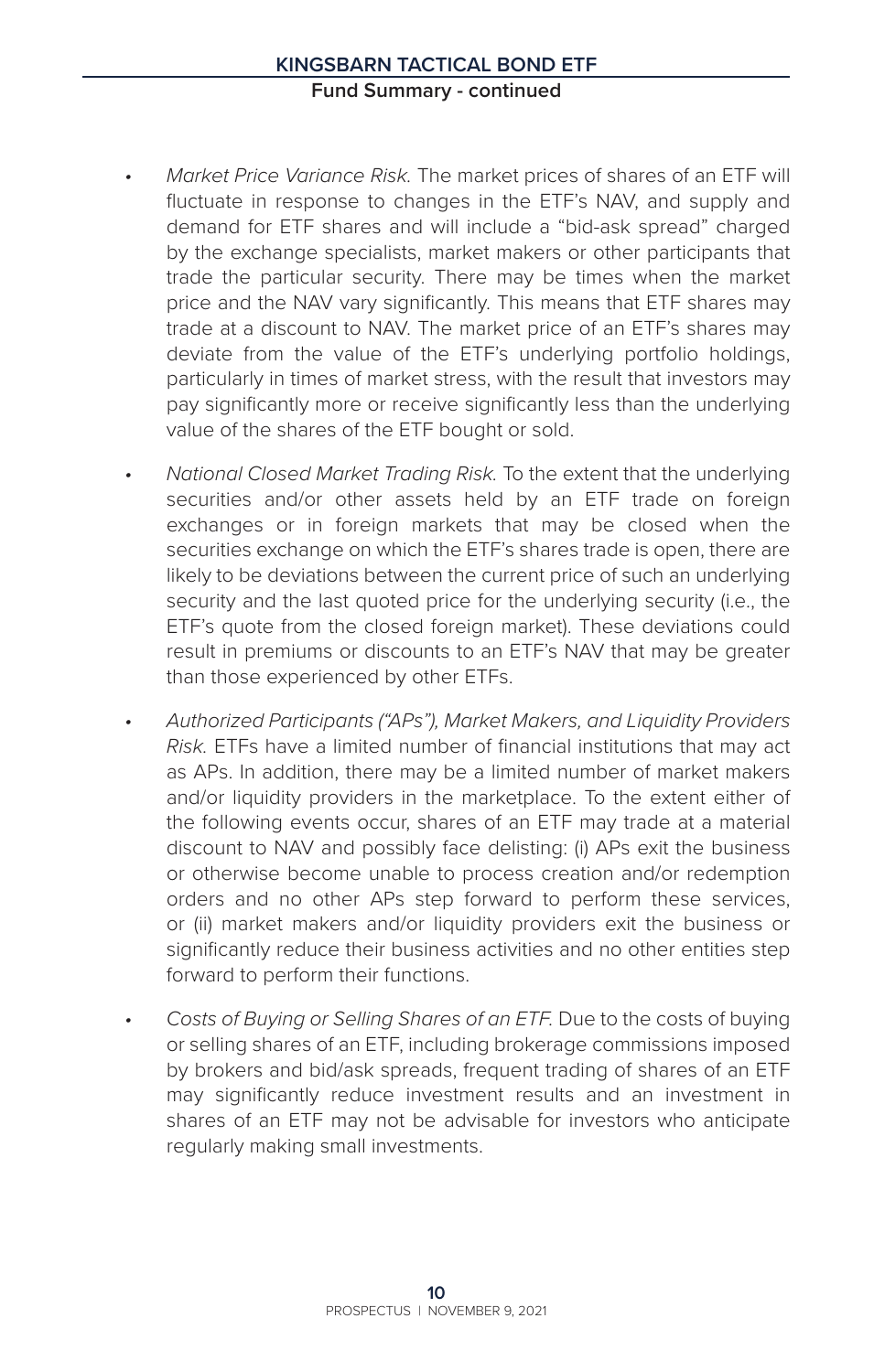- *• Market Price Variance Risk.* The market prices of shares of an ETF will fluctuate in response to changes in the ETF's NAV, and supply and demand for ETF shares and will include a "bid-ask spread" charged by the exchange specialists, market makers or other participants that trade the particular security. There may be times when the market price and the NAV vary significantly. This means that ETF shares may trade at a discount to NAV. The market price of an ETF's shares may deviate from the value of the ETF's underlying portfolio holdings, particularly in times of market stress, with the result that investors may pay significantly more or receive significantly less than the underlying value of the shares of the ETF bought or sold.
- *• National Closed Market Trading Risk.* To the extent that the underlying securities and/or other assets held by an ETF trade on foreign exchanges or in foreign markets that may be closed when the securities exchange on which the ETF's shares trade is open, there are likely to be deviations between the current price of such an underlying security and the last quoted price for the underlying security (i.e., the ETF's quote from the closed foreign market). These deviations could result in premiums or discounts to an ETF's NAV that may be greater than those experienced by other ETFs.
- *• Authorized Participants ("APs"), Market Makers, and Liquidity Providers Risk.* ETFs have a limited number of financial institutions that may act as APs. In addition, there may be a limited number of market makers and/or liquidity providers in the marketplace. To the extent either of the following events occur, shares of an ETF may trade at a material discount to NAV and possibly face delisting: (i) APs exit the business or otherwise become unable to process creation and/or redemption orders and no other APs step forward to perform these services, or (ii) market makers and/or liquidity providers exit the business or significantly reduce their business activities and no other entities step forward to perform their functions.
- *• Costs of Buying or Selling Shares of an ETF.* Due to the costs of buying or selling shares of an ETF, including brokerage commissions imposed by brokers and bid/ask spreads, frequent trading of shares of an ETF may significantly reduce investment results and an investment in shares of an ETF may not be advisable for investors who anticipate regularly making small investments.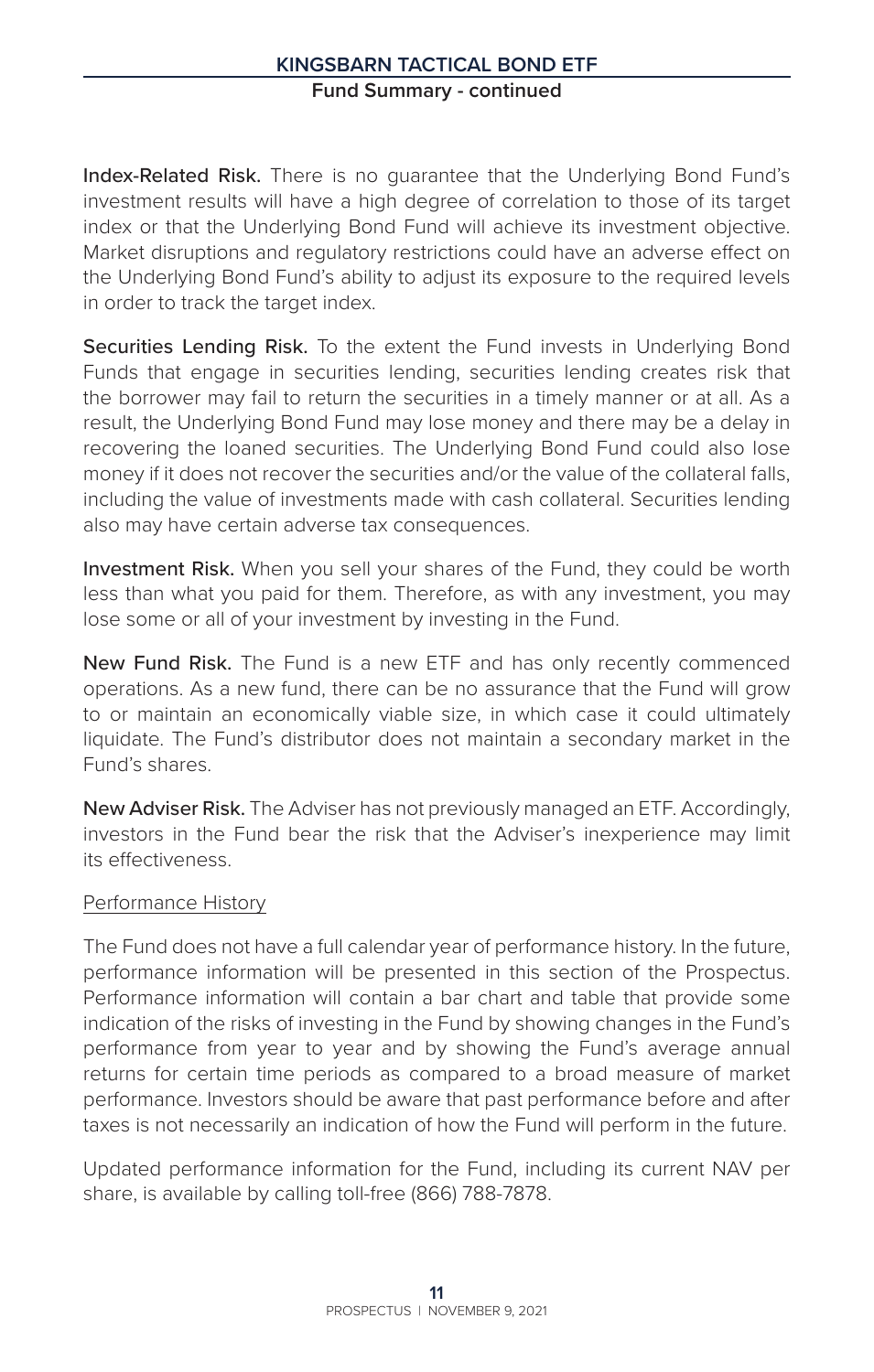Index-Related Risk. There is no guarantee that the Underlying Bond Fund's investment results will have a high degree of correlation to those of its target index or that the Underlying Bond Fund will achieve its investment objective. Market disruptions and regulatory restrictions could have an adverse effect on the Underlying Bond Fund's ability to adjust its exposure to the required levels in order to track the target index.

Securities Lending Risk. To the extent the Fund invests in Underlying Bond Funds that engage in securities lending, securities lending creates risk that the borrower may fail to return the securities in a timely manner or at all. As a result, the Underlying Bond Fund may lose money and there may be a delay in recovering the loaned securities. The Underlying Bond Fund could also lose money if it does not recover the securities and/or the value of the collateral falls, including the value of investments made with cash collateral. Securities lending also may have certain adverse tax consequences.

Investment Risk. When you sell your shares of the Fund, they could be worth less than what you paid for them. Therefore, as with any investment, you may lose some or all of your investment by investing in the Fund.

New Fund Risk. The Fund is a new ETF and has only recently commenced operations. As a new fund, there can be no assurance that the Fund will grow to or maintain an economically viable size, in which case it could ultimately liquidate. The Fund's distributor does not maintain a secondary market in the Fund's shares.

New Adviser Risk. The Adviser has not previously managed an ETF. Accordingly, investors in the Fund bear the risk that the Adviser's inexperience may limit its effectiveness.

#### Performance History

The Fund does not have a full calendar year of performance history. In the future, performance information will be presented in this section of the Prospectus. Performance information will contain a bar chart and table that provide some indication of the risks of investing in the Fund by showing changes in the Fund's performance from year to year and by showing the Fund's average annual returns for certain time periods as compared to a broad measure of market performance. Investors should be aware that past performance before and after taxes is not necessarily an indication of how the Fund will perform in the future.

Updated performance information for the Fund, including its current NAV per share, is available by calling toll-free (866) 788-7878.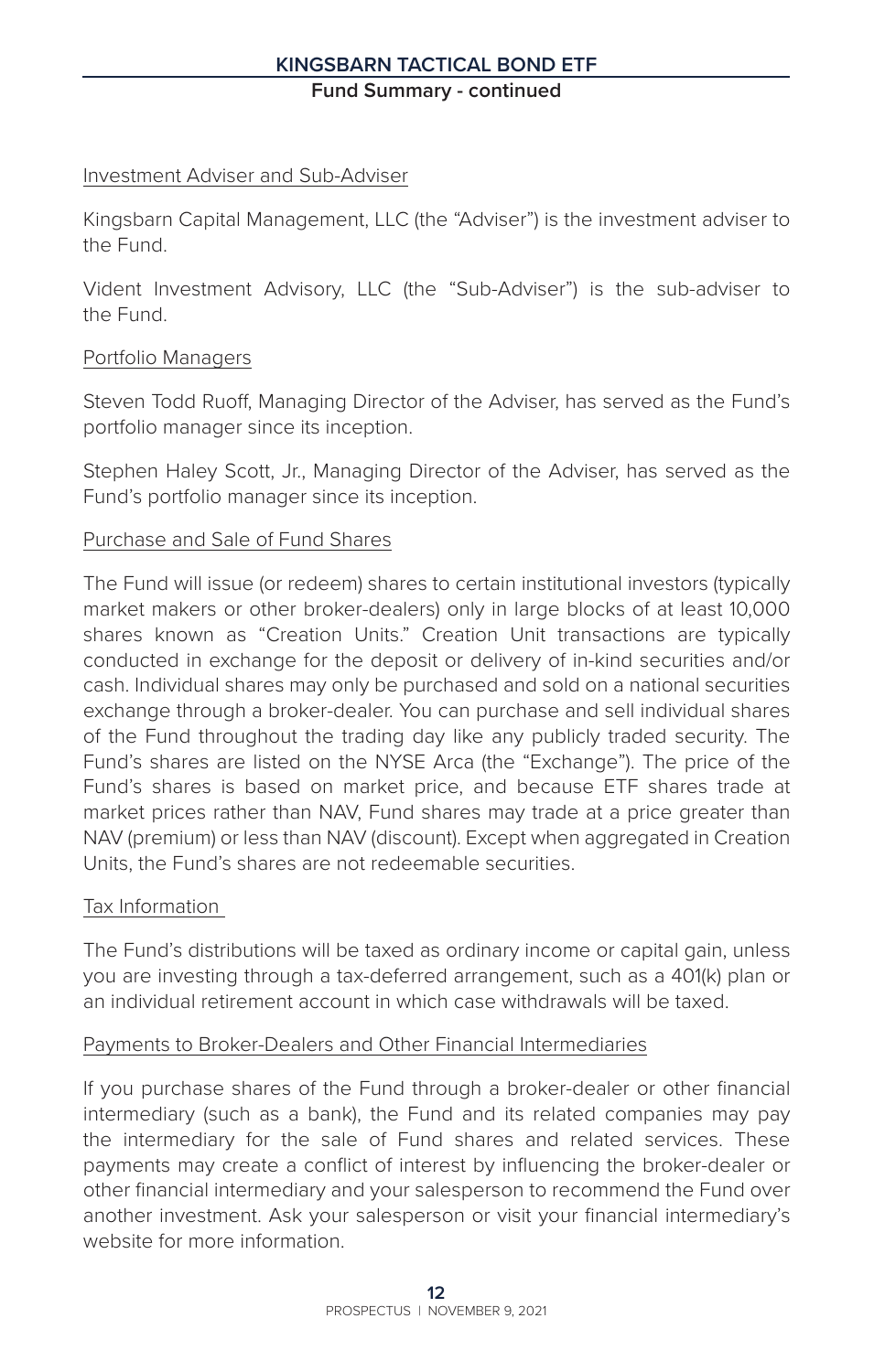#### **Kingsbarn Tactical Bond ETF**

**Fund Summary - continued**

#### Investment Adviser and Sub-Adviser

Kingsbarn Capital Management, LLC (the "Adviser") is the investment adviser to the Fund.

Vident Investment Advisory, LLC (the "Sub-Adviser") is the sub-adviser to the Fund.

#### Portfolio Managers

Steven Todd Ruoff, Managing Director of the Adviser, has served as the Fund's portfolio manager since its inception.

Stephen Haley Scott, Jr., Managing Director of the Adviser, has served as the Fund's portfolio manager since its inception.

#### Purchase and Sale of Fund Shares

The Fund will issue (or redeem) shares to certain institutional investors (typically market makers or other broker-dealers) only in large blocks of at least 10,000 shares known as "Creation Units." Creation Unit transactions are typically conducted in exchange for the deposit or delivery of in-kind securities and/or cash. Individual shares may only be purchased and sold on a national securities exchange through a broker-dealer. You can purchase and sell individual shares of the Fund throughout the trading day like any publicly traded security. The Fund's shares are listed on the NYSE Arca (the "Exchange"). The price of the Fund's shares is based on market price, and because ETF shares trade at market prices rather than NAV, Fund shares may trade at a price greater than NAV (premium) or less than NAV (discount). Except when aggregated in Creation Units, the Fund's shares are not redeemable securities.

# Tax Information

The Fund's distributions will be taxed as ordinary income or capital gain, unless you are investing through a tax-deferred arrangement, such as a 401(k) plan or an individual retirement account in which case withdrawals will be taxed.

#### Payments to Broker-Dealers and Other Financial Intermediaries

If you purchase shares of the Fund through a broker-dealer or other financial intermediary (such as a bank), the Fund and its related companies may pay the intermediary for the sale of Fund shares and related services. These payments may create a conflict of interest by influencing the broker-dealer or other financial intermediary and your salesperson to recommend the Fund over another investment. Ask your salesperson or visit your financial intermediary's website for more information.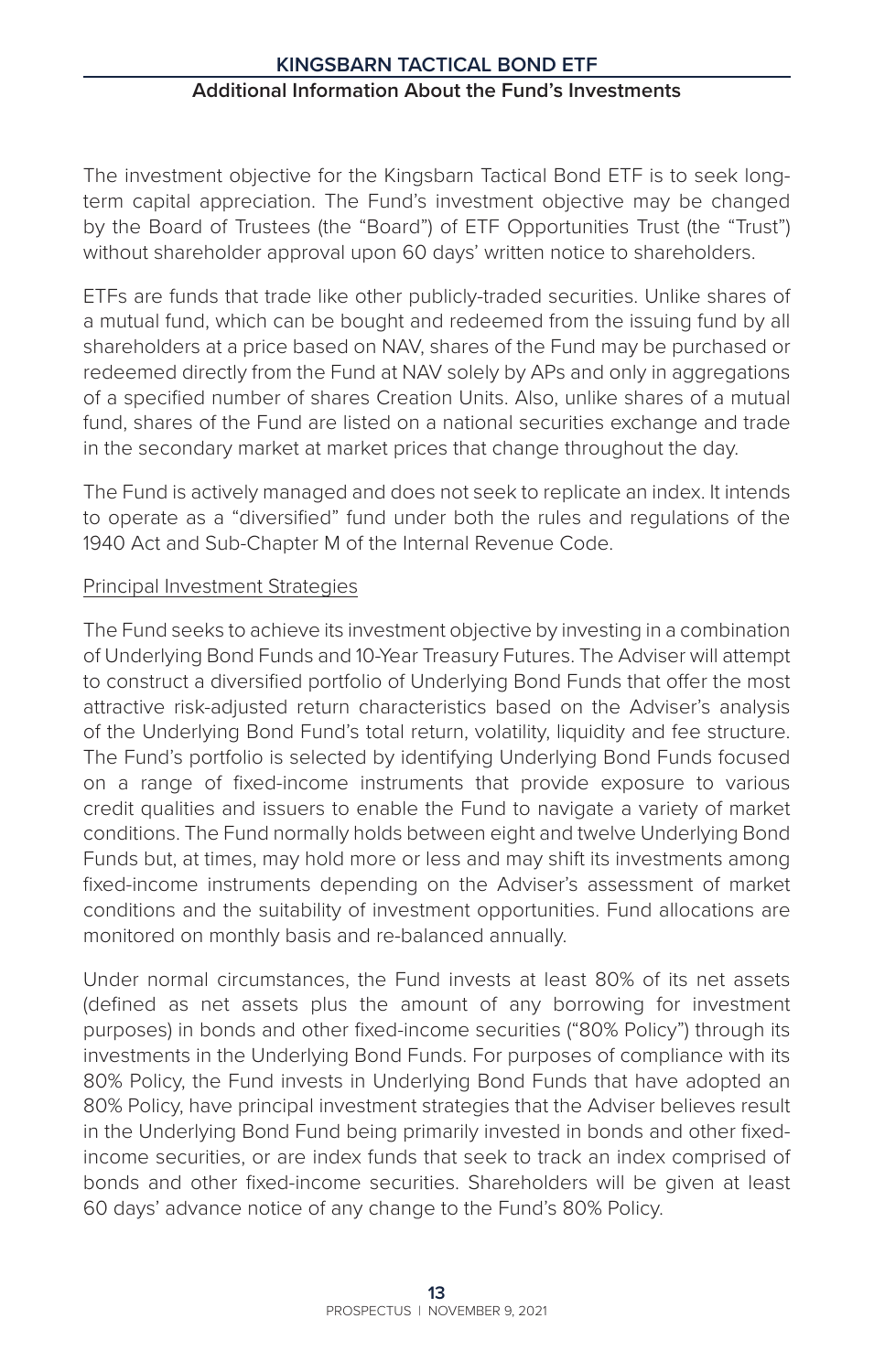# **Kingsbarn Tactical Bond ETF Additional Information About the Fund's Investments**

The investment objective for the Kingsbarn Tactical Bond ETF is to seek longterm capital appreciation. The Fund's investment objective may be changed by the Board of Trustees (the "Board") of ETF Opportunities Trust (the "Trust") without shareholder approval upon 60 days' written notice to shareholders.

ETFs are funds that trade like other publicly-traded securities. Unlike shares of a mutual fund, which can be bought and redeemed from the issuing fund by all shareholders at a price based on NAV, shares of the Fund may be purchased or redeemed directly from the Fund at NAV solely by APs and only in aggregations of a specified number of shares Creation Units. Also, unlike shares of a mutual fund, shares of the Fund are listed on a national securities exchange and trade in the secondary market at market prices that change throughout the day.

The Fund is actively managed and does not seek to replicate an index. It intends to operate as a "diversified" fund under both the rules and regulations of the 1940 Act and Sub-Chapter M of the Internal Revenue Code.

# Principal Investment Strategies

The Fund seeks to achieve its investment objective by investing in a combination of Underlying Bond Funds and 10-Year Treasury Futures. The Adviser will attempt to construct a diversified portfolio of Underlying Bond Funds that offer the most attractive risk-adjusted return characteristics based on the Adviser's analysis of the Underlying Bond Fund's total return, volatility, liquidity and fee structure. The Fund's portfolio is selected by identifying Underlying Bond Funds focused on a range of fixed-income instruments that provide exposure to various credit qualities and issuers to enable the Fund to navigate a variety of market conditions. The Fund normally holds between eight and twelve Underlying Bond Funds but, at times, may hold more or less and may shift its investments among fixed-income instruments depending on the Adviser's assessment of market conditions and the suitability of investment opportunities. Fund allocations are monitored on monthly basis and re-balanced annually.

Under normal circumstances, the Fund invests at least 80% of its net assets (defined as net assets plus the amount of any borrowing for investment purposes) in bonds and other fixed-income securities ("80% Policy") through its investments in the Underlying Bond Funds. For purposes of compliance with its 80% Policy, the Fund invests in Underlying Bond Funds that have adopted an 80% Policy, have principal investment strategies that the Adviser believes result in the Underlying Bond Fund being primarily invested in bonds and other fixedincome securities, or are index funds that seek to track an index comprised of bonds and other fixed-income securities. Shareholders will be given at least 60 days' advance notice of any change to the Fund's 80% Policy.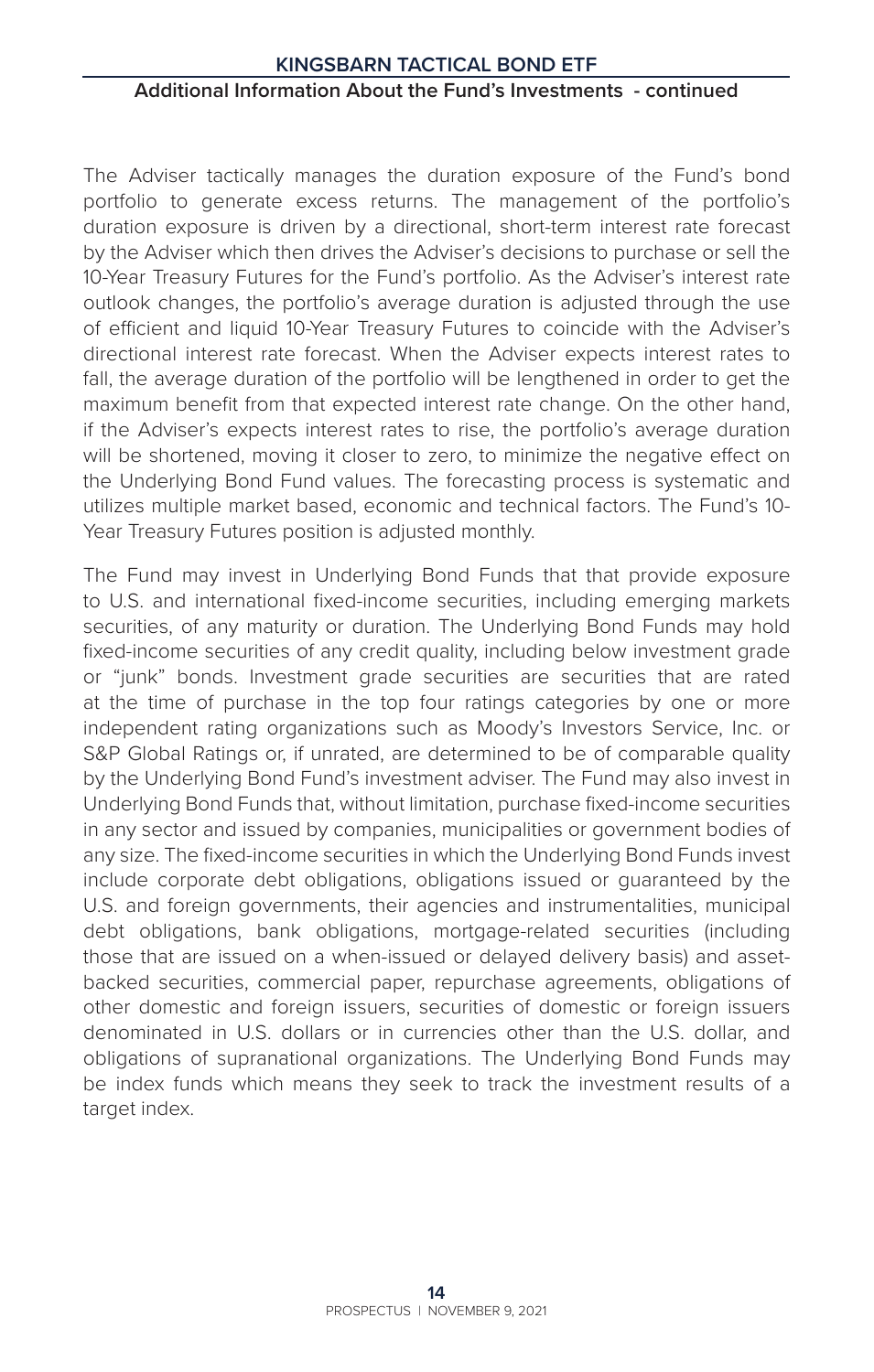#### **Kingsbarn Tactical Bond ETF**

#### **Additional Information About the Fund's Investments - continued**

The Adviser tactically manages the duration exposure of the Fund's bond portfolio to generate excess returns. The management of the portfolio's duration exposure is driven by a directional, short-term interest rate forecast by the Adviser which then drives the Adviser's decisions to purchase or sell the 10-Year Treasury Futures for the Fund's portfolio. As the Adviser's interest rate outlook changes, the portfolio's average duration is adjusted through the use of efficient and liquid 10-Year Treasury Futures to coincide with the Adviser's directional interest rate forecast. When the Adviser expects interest rates to fall, the average duration of the portfolio will be lengthened in order to get the maximum benefit from that expected interest rate change. On the other hand, if the Adviser's expects interest rates to rise, the portfolio's average duration will be shortened, moving it closer to zero, to minimize the negative effect on the Underlying Bond Fund values. The forecasting process is systematic and utilizes multiple market based, economic and technical factors. The Fund's 10- Year Treasury Futures position is adjusted monthly.

The Fund may invest in Underlying Bond Funds that that provide exposure to U.S. and international fixed-income securities, including emerging markets securities, of any maturity or duration. The Underlying Bond Funds may hold fixed-income securities of any credit quality, including below investment grade or "junk" bonds. Investment grade securities are securities that are rated at the time of purchase in the top four ratings categories by one or more independent rating organizations such as Moody's Investors Service, Inc. or S&P Global Ratings or, if unrated, are determined to be of comparable quality by the Underlying Bond Fund's investment adviser. The Fund may also invest in Underlying Bond Funds that, without limitation, purchase fixed-income securities in any sector and issued by companies, municipalities or government bodies of any size. The fixed-income securities in which the Underlying Bond Funds invest include corporate debt obligations, obligations issued or guaranteed by the U.S. and foreign governments, their agencies and instrumentalities, municipal debt obligations, bank obligations, mortgage-related securities (including those that are issued on a when-issued or delayed delivery basis) and assetbacked securities, commercial paper, repurchase agreements, obligations of other domestic and foreign issuers, securities of domestic or foreign issuers denominated in U.S. dollars or in currencies other than the U.S. dollar, and obligations of supranational organizations. The Underlying Bond Funds may be index funds which means they seek to track the investment results of a target index.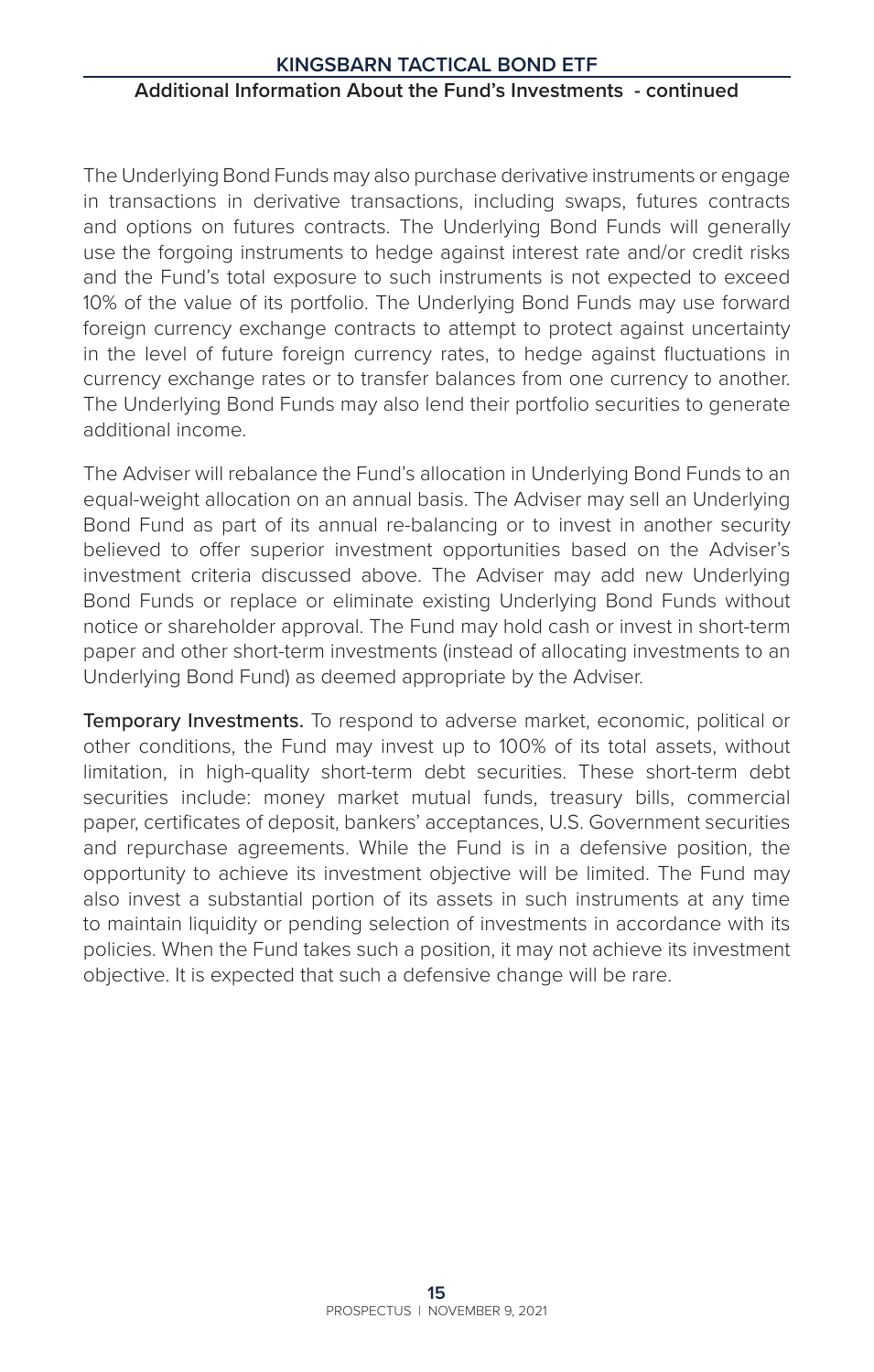#### **Additional Information About the Fund's Investments - continued**

The Underlying Bond Funds may also purchase derivative instruments or engage in transactions in derivative transactions, including swaps, futures contracts and options on futures contracts. The Underlying Bond Funds will generally use the forgoing instruments to hedge against interest rate and/or credit risks and the Fund's total exposure to such instruments is not expected to exceed 10% of the value of its portfolio. The Underlying Bond Funds may use forward foreign currency exchange contracts to attempt to protect against uncertainty in the level of future foreign currency rates, to hedge against fluctuations in currency exchange rates or to transfer balances from one currency to another. The Underlying Bond Funds may also lend their portfolio securities to generate additional income.

The Adviser will rebalance the Fund's allocation in Underlying Bond Funds to an equal-weight allocation on an annual basis. The Adviser may sell an Underlying Bond Fund as part of its annual re-balancing or to invest in another security believed to offer superior investment opportunities based on the Adviser's investment criteria discussed above. The Adviser may add new Underlying Bond Funds or replace or eliminate existing Underlying Bond Funds without notice or shareholder approval. The Fund may hold cash or invest in short-term paper and other short-term investments (instead of allocating investments to an Underlying Bond Fund) as deemed appropriate by the Adviser.

Temporary Investments. To respond to adverse market, economic, political or other conditions, the Fund may invest up to 100% of its total assets, without limitation, in high-quality short-term debt securities. These short-term debt securities include: money market mutual funds, treasury bills, commercial paper, certificates of deposit, bankers' acceptances, U.S. Government securities and repurchase agreements. While the Fund is in a defensive position, the opportunity to achieve its investment objective will be limited. The Fund may also invest a substantial portion of its assets in such instruments at any time to maintain liquidity or pending selection of investments in accordance with its policies. When the Fund takes such a position, it may not achieve its investment objective. It is expected that such a defensive change will be rare.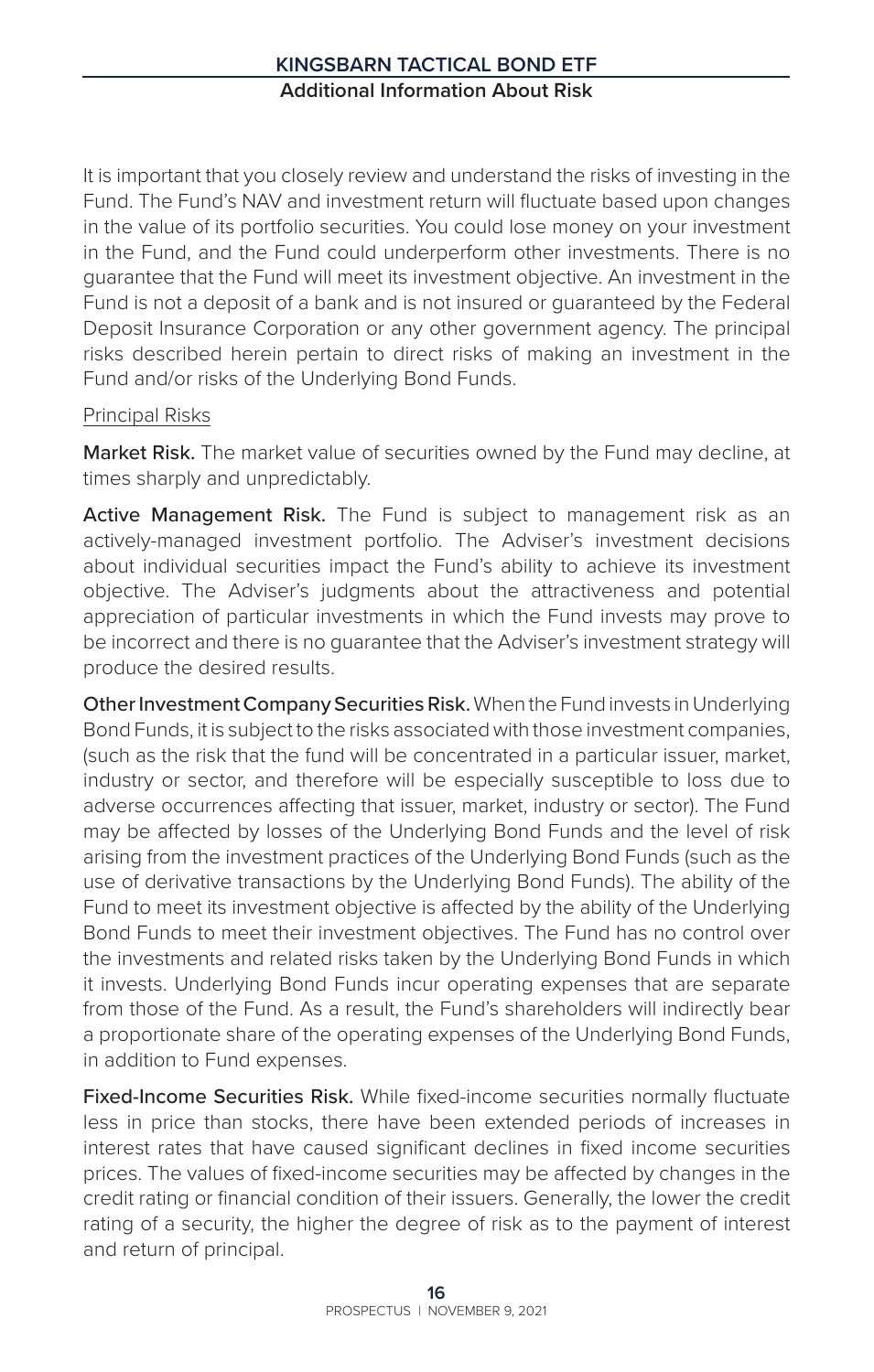# **Kingsbarn Tactical Bond ETF Additional Information About Risk**

It is important that you closely review and understand the risks of investing in the Fund. The Fund's NAV and investment return will fluctuate based upon changes in the value of its portfolio securities. You could lose money on your investment in the Fund, and the Fund could underperform other investments. There is no guarantee that the Fund will meet its investment objective. An investment in the Fund is not a deposit of a bank and is not insured or guaranteed by the Federal Deposit Insurance Corporation or any other government agency. The principal risks described herein pertain to direct risks of making an investment in the Fund and/or risks of the Underlying Bond Funds.

#### Principal Risks

Market Risk. The market value of securities owned by the Fund may decline, at times sharply and unpredictably.

Active Management Risk. The Fund is subject to management risk as an actively-managed investment portfolio. The Adviser's investment decisions about individual securities impact the Fund's ability to achieve its investment objective. The Adviser's judgments about the attractiveness and potential appreciation of particular investments in which the Fund invests may prove to be incorrect and there is no guarantee that the Adviser's investment strategy will produce the desired results.

Other Investment Company Securities Risk. When the Fund invests in Underlying Bond Funds, it is subject to the risks associated with those investment companies, (such as the risk that the fund will be concentrated in a particular issuer, market, industry or sector, and therefore will be especially susceptible to loss due to adverse occurrences affecting that issuer, market, industry or sector). The Fund may be affected by losses of the Underlying Bond Funds and the level of risk arising from the investment practices of the Underlying Bond Funds (such as the use of derivative transactions by the Underlying Bond Funds). The ability of the Fund to meet its investment objective is affected by the ability of the Underlying Bond Funds to meet their investment objectives. The Fund has no control over the investments and related risks taken by the Underlying Bond Funds in which it invests. Underlying Bond Funds incur operating expenses that are separate from those of the Fund. As a result, the Fund's shareholders will indirectly bear a proportionate share of the operating expenses of the Underlying Bond Funds, in addition to Fund expenses.

Fixed-Income Securities Risk. While fixed-income securities normally fluctuate less in price than stocks, there have been extended periods of increases in interest rates that have caused significant declines in fixed income securities prices. The values of fixed-income securities may be affected by changes in the credit rating or financial condition of their issuers. Generally, the lower the credit rating of a security, the higher the degree of risk as to the payment of interest and return of principal.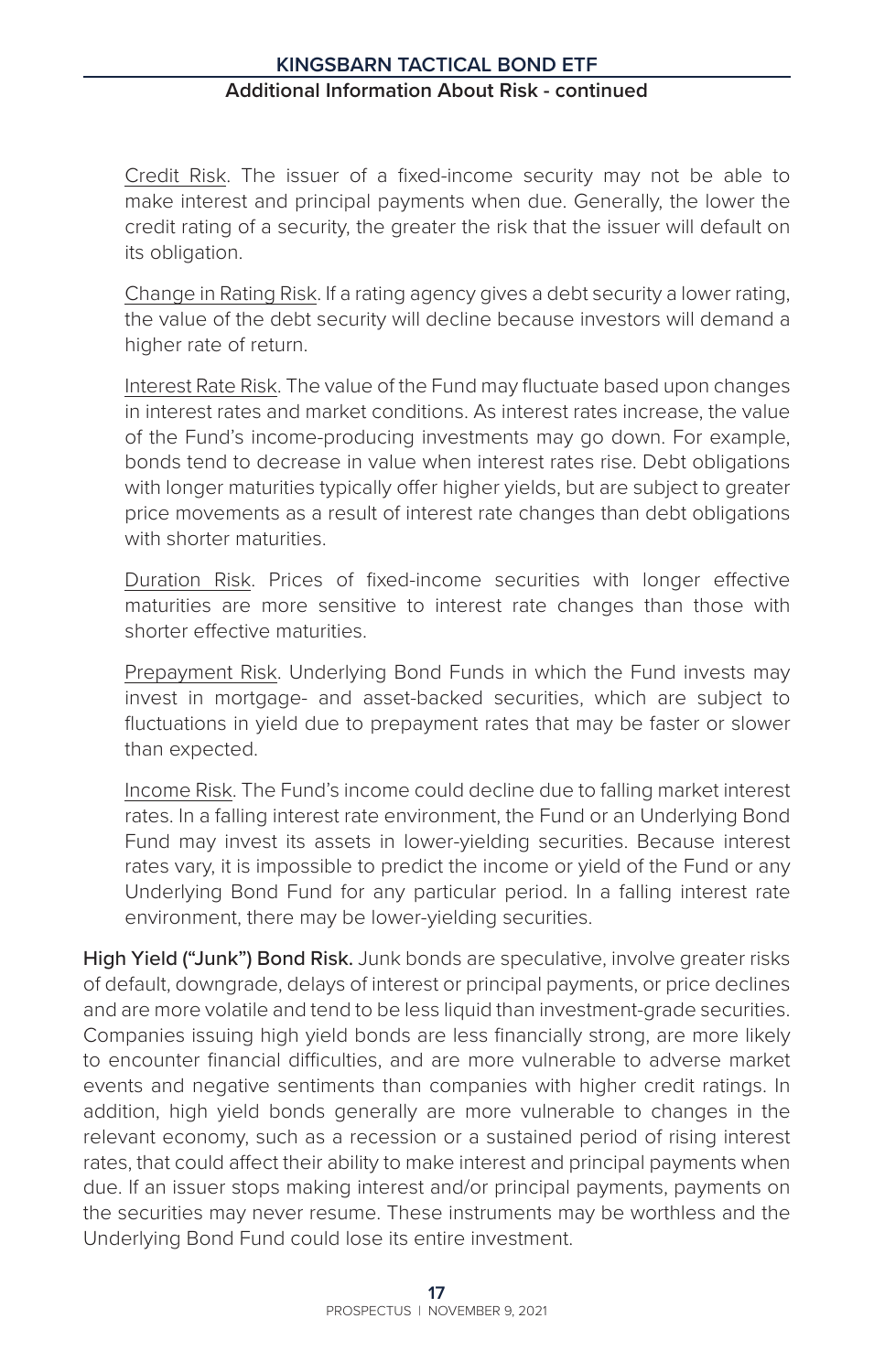Credit Risk. The issuer of a fixed-income security may not be able to make interest and principal payments when due. Generally, the lower the credit rating of a security, the greater the risk that the issuer will default on its obligation.

Change in Rating Risk. If a rating agency gives a debt security a lower rating, the value of the debt security will decline because investors will demand a higher rate of return.

Interest Rate Risk. The value of the Fund may fluctuate based upon changes in interest rates and market conditions. As interest rates increase, the value of the Fund's income-producing investments may go down. For example, bonds tend to decrease in value when interest rates rise. Debt obligations with longer maturities typically offer higher yields, but are subject to greater price movements as a result of interest rate changes than debt obligations with shorter maturities.

Duration Risk. Prices of fixed-income securities with longer effective maturities are more sensitive to interest rate changes than those with shorter effective maturities.

Prepayment Risk. Underlying Bond Funds in which the Fund invests may invest in mortgage- and asset-backed securities, which are subject to fluctuations in yield due to prepayment rates that may be faster or slower than expected.

Income Risk. The Fund's income could decline due to falling market interest rates. In a falling interest rate environment, the Fund or an Underlying Bond Fund may invest its assets in lower-yielding securities. Because interest rates vary, it is impossible to predict the income or yield of the Fund or any Underlying Bond Fund for any particular period. In a falling interest rate environment, there may be lower-yielding securities.

High Yield ("Junk") Bond Risk. Junk bonds are speculative, involve greater risks of default, downgrade, delays of interest or principal payments, or price declines and are more volatile and tend to be less liquid than investment-grade securities. Companies issuing high yield bonds are less financially strong, are more likely to encounter financial difficulties, and are more vulnerable to adverse market events and negative sentiments than companies with higher credit ratings. In addition, high yield bonds generally are more vulnerable to changes in the relevant economy, such as a recession or a sustained period of rising interest rates, that could affect their ability to make interest and principal payments when due. If an issuer stops making interest and/or principal payments, payments on the securities may never resume. These instruments may be worthless and the Underlying Bond Fund could lose its entire investment.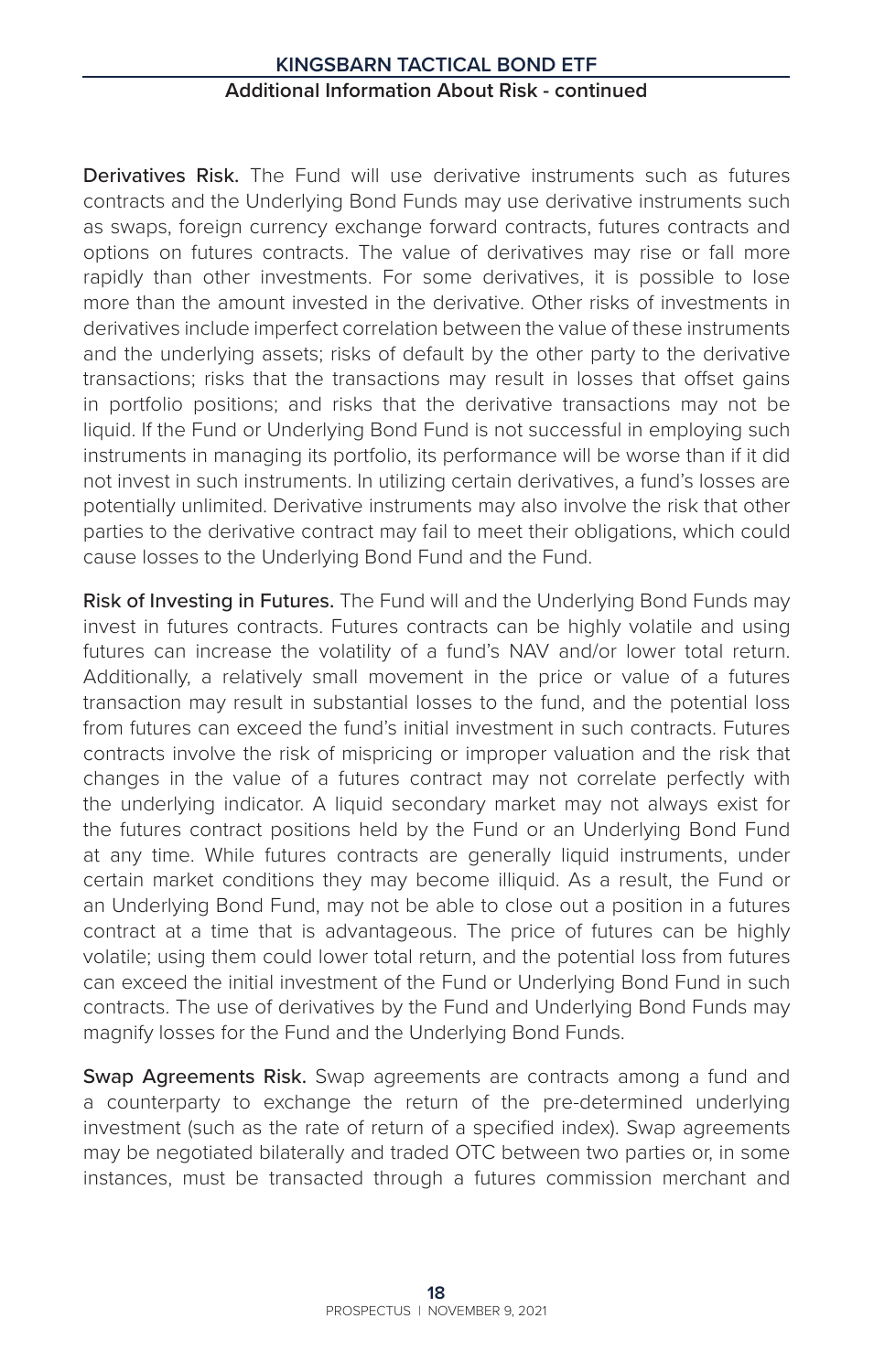Derivatives Risk. The Fund will use derivative instruments such as futures contracts and the Underlying Bond Funds may use derivative instruments such as swaps, foreign currency exchange forward contracts, futures contracts and options on futures contracts. The value of derivatives may rise or fall more rapidly than other investments. For some derivatives, it is possible to lose more than the amount invested in the derivative. Other risks of investments in derivatives include imperfect correlation between the value of these instruments and the underlying assets; risks of default by the other party to the derivative transactions; risks that the transactions may result in losses that offset gains in portfolio positions; and risks that the derivative transactions may not be liquid. If the Fund or Underlying Bond Fund is not successful in employing such instruments in managing its portfolio, its performance will be worse than if it did not invest in such instruments. In utilizing certain derivatives, a fund's losses are potentially unlimited. Derivative instruments may also involve the risk that other parties to the derivative contract may fail to meet their obligations, which could cause losses to the Underlying Bond Fund and the Fund.

Risk of Investing in Futures. The Fund will and the Underlying Bond Funds may invest in futures contracts. Futures contracts can be highly volatile and using futures can increase the volatility of a fund's NAV and/or lower total return. Additionally, a relatively small movement in the price or value of a futures transaction may result in substantial losses to the fund, and the potential loss from futures can exceed the fund's initial investment in such contracts. Futures contracts involve the risk of mispricing or improper valuation and the risk that changes in the value of a futures contract may not correlate perfectly with the underlying indicator. A liquid secondary market may not always exist for the futures contract positions held by the Fund or an Underlying Bond Fund at any time. While futures contracts are generally liquid instruments, under certain market conditions they may become illiquid. As a result, the Fund or an Underlying Bond Fund, may not be able to close out a position in a futures contract at a time that is advantageous. The price of futures can be highly volatile; using them could lower total return, and the potential loss from futures can exceed the initial investment of the Fund or Underlying Bond Fund in such contracts. The use of derivatives by the Fund and Underlying Bond Funds may magnify losses for the Fund and the Underlying Bond Funds.

Swap Agreements Risk. Swap agreements are contracts among a fund and a counterparty to exchange the return of the pre-determined underlying investment (such as the rate of return of a specified index). Swap agreements may be negotiated bilaterally and traded OTC between two parties or, in some instances, must be transacted through a futures commission merchant and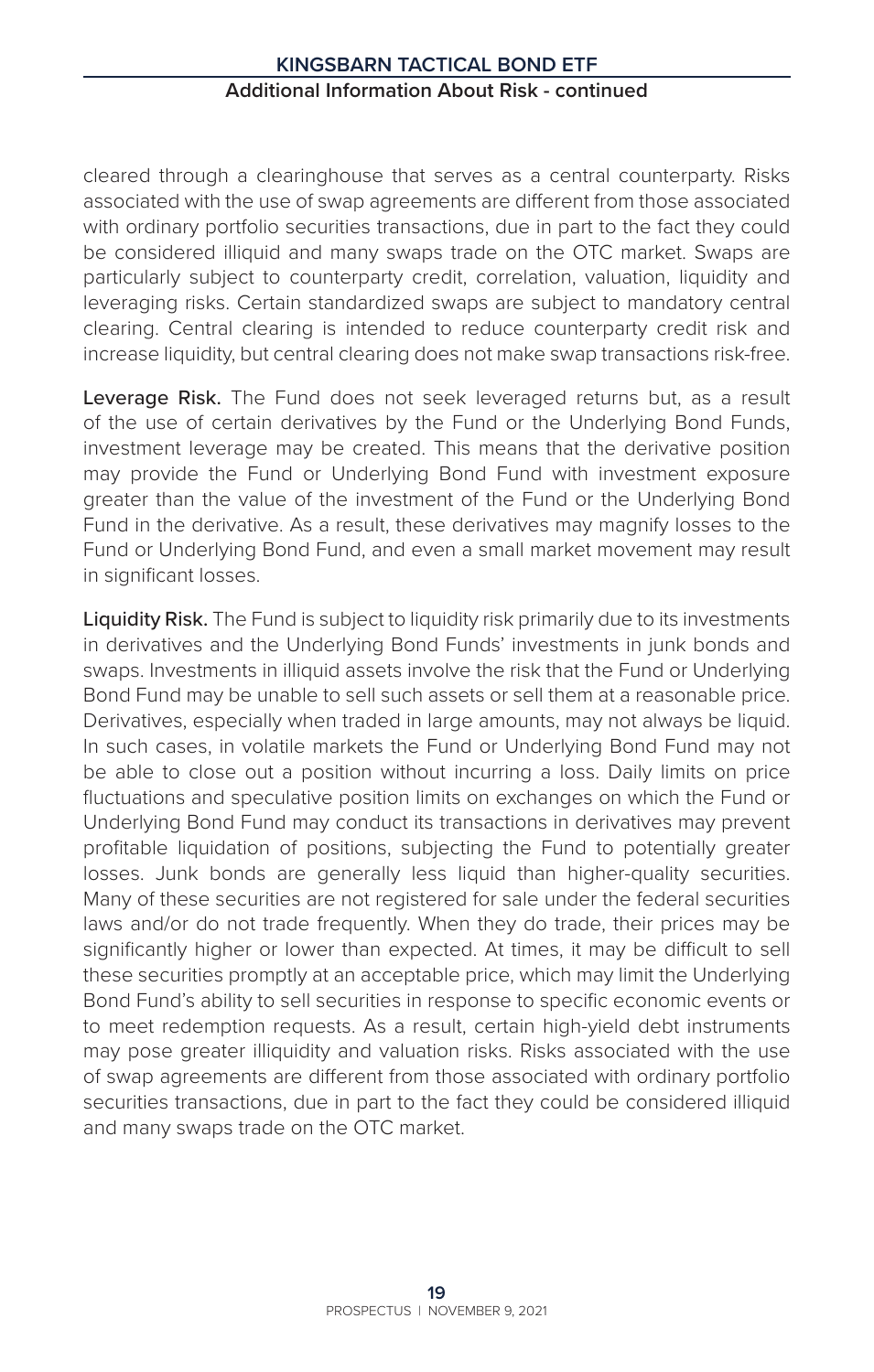cleared through a clearinghouse that serves as a central counterparty. Risks associated with the use of swap agreements are different from those associated with ordinary portfolio securities transactions, due in part to the fact they could be considered illiquid and many swaps trade on the OTC market. Swaps are particularly subject to counterparty credit, correlation, valuation, liquidity and leveraging risks. Certain standardized swaps are subject to mandatory central clearing. Central clearing is intended to reduce counterparty credit risk and increase liquidity, but central clearing does not make swap transactions risk-free.

Leverage Risk. The Fund does not seek leveraged returns but, as a result of the use of certain derivatives by the Fund or the Underlying Bond Funds, investment leverage may be created. This means that the derivative position may provide the Fund or Underlying Bond Fund with investment exposure greater than the value of the investment of the Fund or the Underlying Bond Fund in the derivative. As a result, these derivatives may magnify losses to the Fund or Underlying Bond Fund, and even a small market movement may result in significant losses.

Liquidity Risk. The Fund is subject to liquidity risk primarily due to its investments in derivatives and the Underlying Bond Funds' investments in junk bonds and swaps. Investments in illiquid assets involve the risk that the Fund or Underlying Bond Fund may be unable to sell such assets or sell them at a reasonable price. Derivatives, especially when traded in large amounts, may not always be liquid. In such cases, in volatile markets the Fund or Underlying Bond Fund may not be able to close out a position without incurring a loss. Daily limits on price fluctuations and speculative position limits on exchanges on which the Fund or Underlying Bond Fund may conduct its transactions in derivatives may prevent profitable liquidation of positions, subjecting the Fund to potentially greater losses. Junk bonds are generally less liquid than higher-quality securities. Many of these securities are not registered for sale under the federal securities laws and/or do not trade frequently. When they do trade, their prices may be significantly higher or lower than expected. At times, it may be difficult to sell these securities promptly at an acceptable price, which may limit the Underlying Bond Fund's ability to sell securities in response to specific economic events or to meet redemption requests. As a result, certain high-yield debt instruments may pose greater illiquidity and valuation risks. Risks associated with the use of swap agreements are different from those associated with ordinary portfolio securities transactions, due in part to the fact they could be considered illiquid and many swaps trade on the OTC market.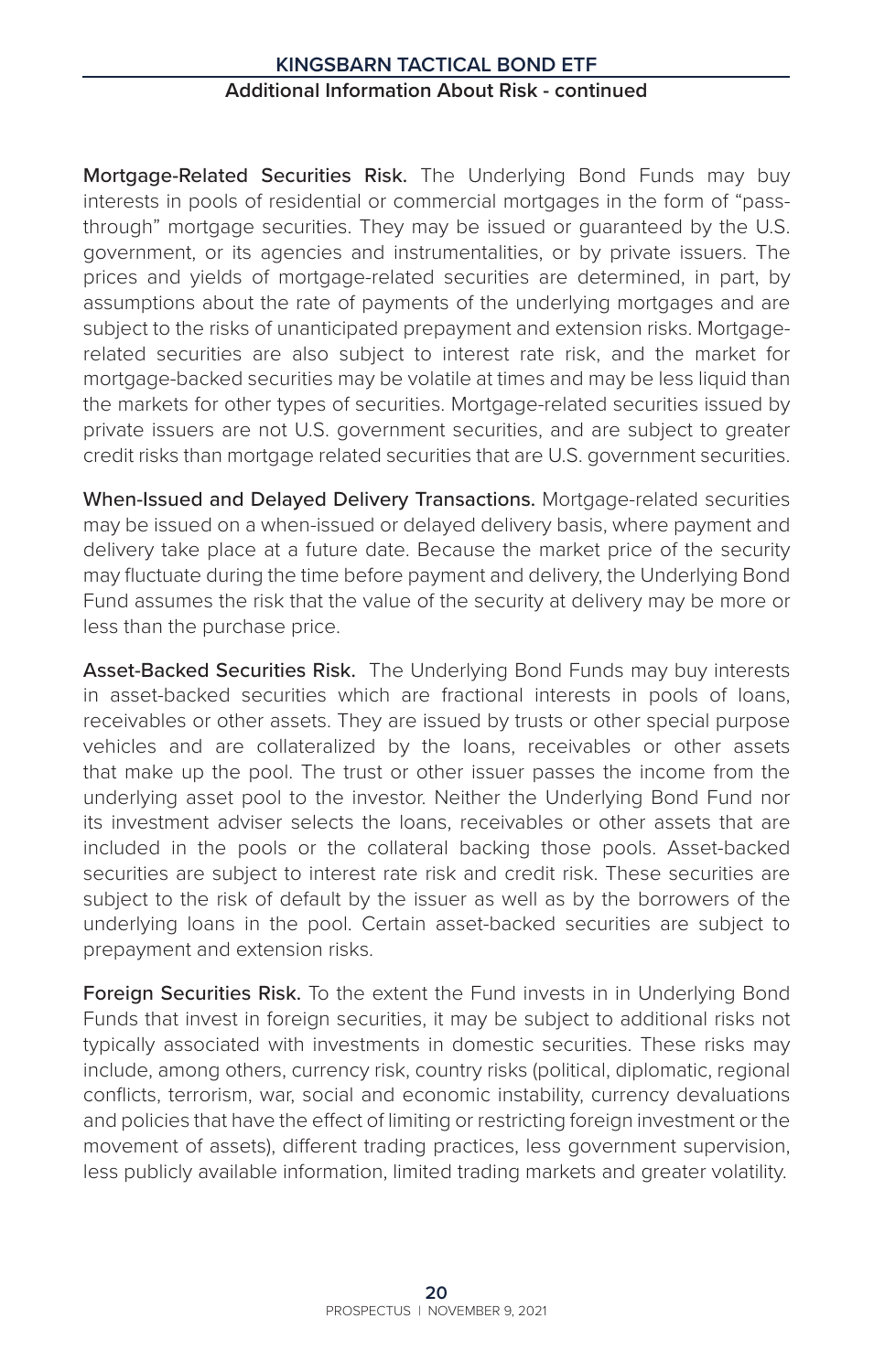Mortgage-Related Securities Risk. The Underlying Bond Funds may buy interests in pools of residential or commercial mortgages in the form of "passthrough" mortgage securities. They may be issued or guaranteed by the U.S. government, or its agencies and instrumentalities, or by private issuers. The prices and yields of mortgage-related securities are determined, in part, by assumptions about the rate of payments of the underlying mortgages and are subject to the risks of unanticipated prepayment and extension risks. Mortgagerelated securities are also subject to interest rate risk, and the market for mortgage-backed securities may be volatile at times and may be less liquid than the markets for other types of securities. Mortgage-related securities issued by private issuers are not U.S. government securities, and are subject to greater credit risks than mortgage related securities that are U.S. government securities.

When-Issued and Delayed Delivery Transactions. Mortgage-related securities may be issued on a when-issued or delayed delivery basis, where payment and delivery take place at a future date. Because the market price of the security may fluctuate during the time before payment and delivery, the Underlying Bond Fund assumes the risk that the value of the security at delivery may be more or less than the purchase price.

Asset-Backed Securities Risk. The Underlying Bond Funds may buy interests in asset-backed securities which are fractional interests in pools of loans, receivables or other assets. They are issued by trusts or other special purpose vehicles and are collateralized by the loans, receivables or other assets that make up the pool. The trust or other issuer passes the income from the underlying asset pool to the investor. Neither the Underlying Bond Fund nor its investment adviser selects the loans, receivables or other assets that are included in the pools or the collateral backing those pools. Asset-backed securities are subject to interest rate risk and credit risk. These securities are subject to the risk of default by the issuer as well as by the borrowers of the underlying loans in the pool. Certain asset-backed securities are subject to prepayment and extension risks.

Foreign Securities Risk. To the extent the Fund invests in in Underlying Bond Funds that invest in foreign securities, it may be subject to additional risks not typically associated with investments in domestic securities. These risks may include, among others, currency risk, country risks (political, diplomatic, regional conflicts, terrorism, war, social and economic instability, currency devaluations and policies that have the effect of limiting or restricting foreign investment or the movement of assets), different trading practices, less government supervision, less publicly available information, limited trading markets and greater volatility.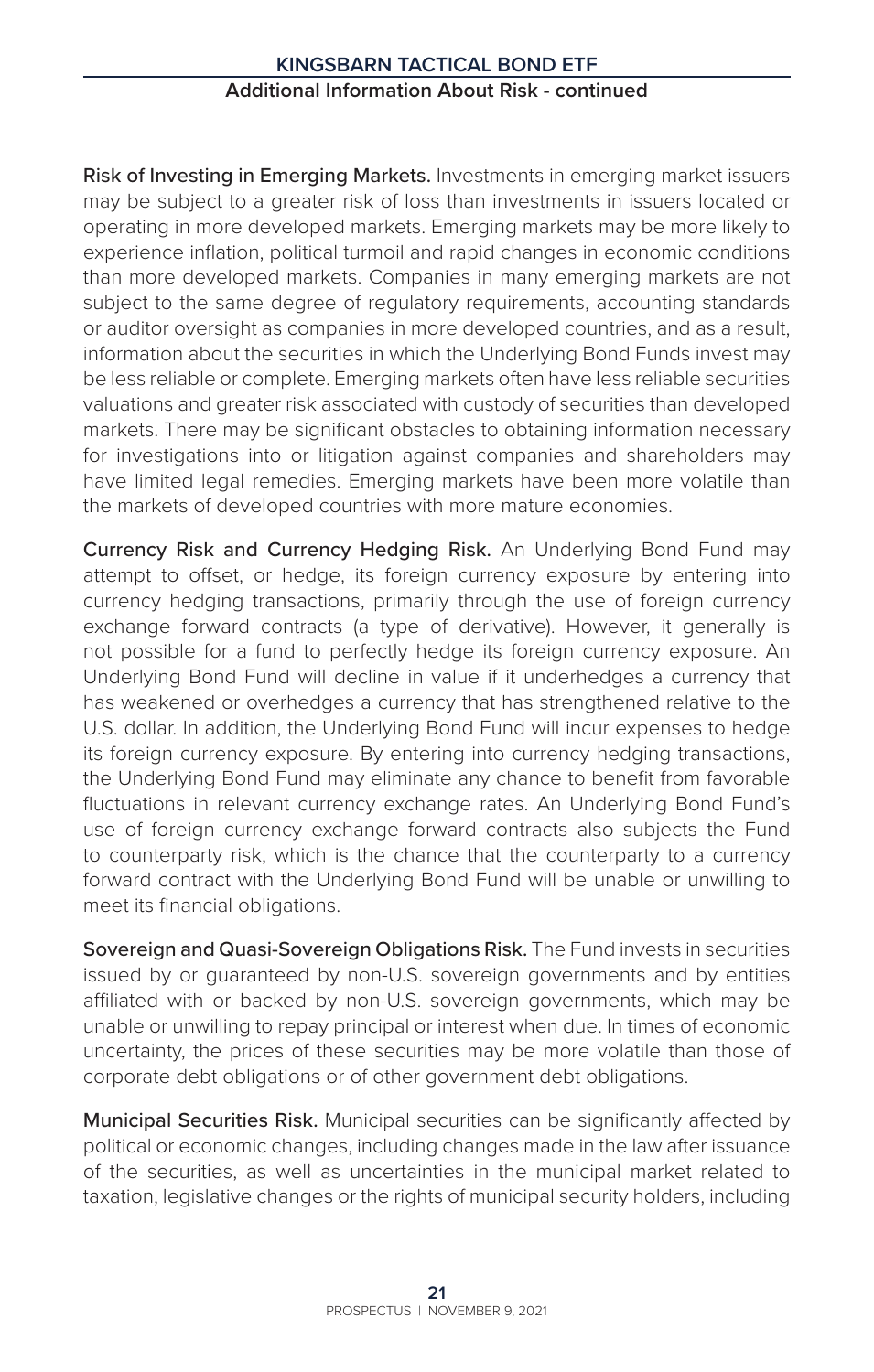Risk of Investing in Emerging Markets. Investments in emerging market issuers may be subject to a greater risk of loss than investments in issuers located or operating in more developed markets. Emerging markets may be more likely to experience inflation, political turmoil and rapid changes in economic conditions than more developed markets. Companies in many emerging markets are not subject to the same degree of regulatory requirements, accounting standards or auditor oversight as companies in more developed countries, and as a result, information about the securities in which the Underlying Bond Funds invest may be less reliable or complete. Emerging markets often have less reliable securities valuations and greater risk associated with custody of securities than developed markets. There may be significant obstacles to obtaining information necessary for investigations into or litigation against companies and shareholders may have limited legal remedies. Emerging markets have been more volatile than the markets of developed countries with more mature economies.

Currency Risk and Currency Hedging Risk. An Underlying Bond Fund may attempt to offset, or hedge, its foreign currency exposure by entering into currency hedging transactions, primarily through the use of foreign currency exchange forward contracts (a type of derivative). However, it generally is not possible for a fund to perfectly hedge its foreign currency exposure. An Underlying Bond Fund will decline in value if it underhedges a currency that has weakened or overhedges a currency that has strengthened relative to the U.S. dollar. In addition, the Underlying Bond Fund will incur expenses to hedge its foreign currency exposure. By entering into currency hedging transactions, the Underlying Bond Fund may eliminate any chance to benefit from favorable fluctuations in relevant currency exchange rates. An Underlying Bond Fund's use of foreign currency exchange forward contracts also subjects the Fund to counterparty risk, which is the chance that the counterparty to a currency forward contract with the Underlying Bond Fund will be unable or unwilling to meet its financial obligations.

Sovereign and Quasi-Sovereign Obligations Risk. The Fund invests in securities issued by or guaranteed by non-U.S. sovereign governments and by entities affiliated with or backed by non-U.S. sovereign governments, which may be unable or unwilling to repay principal or interest when due. In times of economic uncertainty, the prices of these securities may be more volatile than those of corporate debt obligations or of other government debt obligations.

Municipal Securities Risk. Municipal securities can be significantly affected by political or economic changes, including changes made in the law after issuance of the securities, as well as uncertainties in the municipal market related to taxation, legislative changes or the rights of municipal security holders, including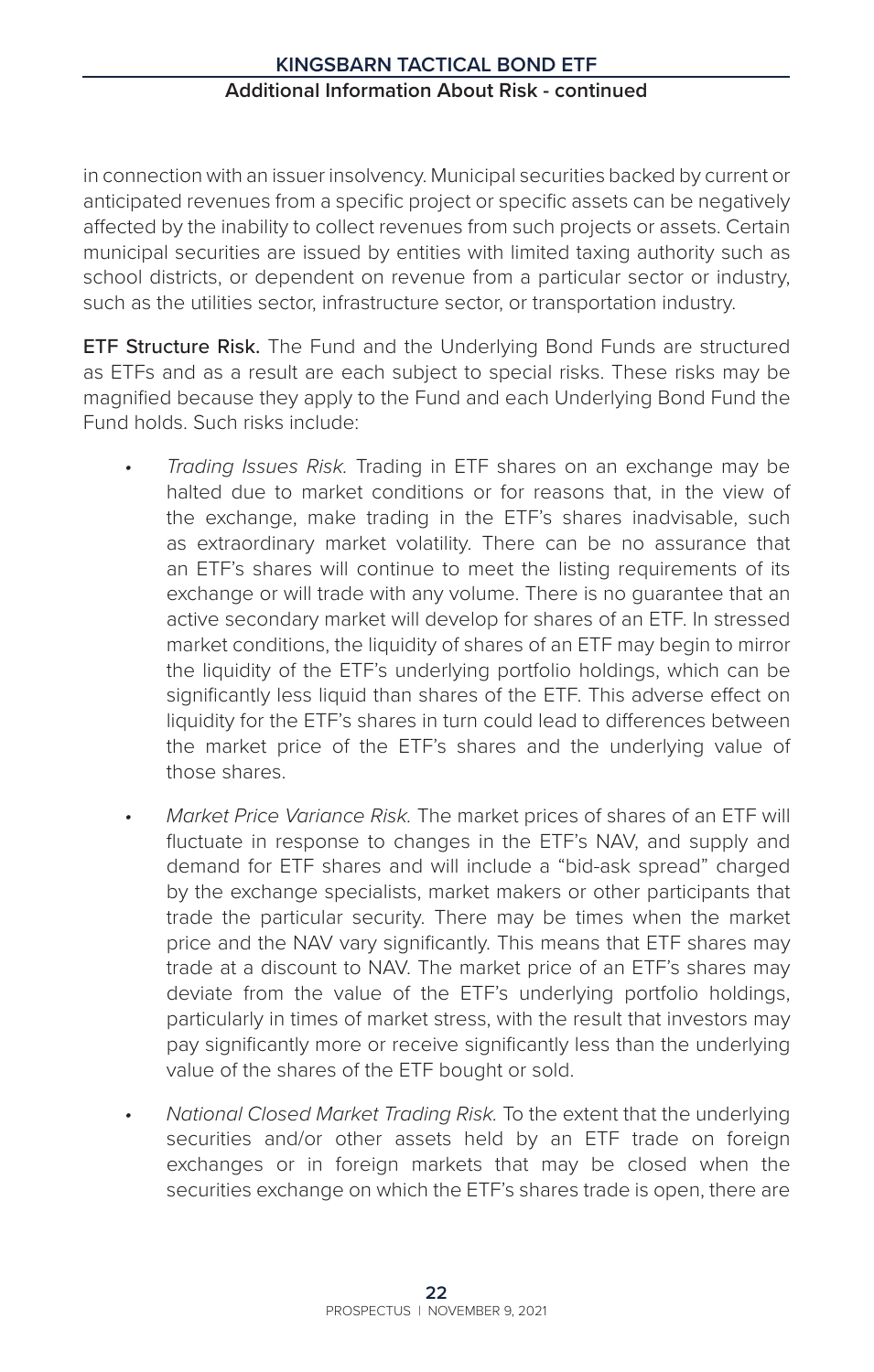in connection with an issuer insolvency. Municipal securities backed by current or anticipated revenues from a specific project or specific assets can be negatively affected by the inability to collect revenues from such projects or assets. Certain municipal securities are issued by entities with limited taxing authority such as school districts, or dependent on revenue from a particular sector or industry, such as the utilities sector, infrastructure sector, or transportation industry.

ETF Structure Risk. The Fund and the Underlying Bond Funds are structured as ETFs and as a result are each subject to special risks. These risks may be magnified because they apply to the Fund and each Underlying Bond Fund the Fund holds. Such risks include:

- *• Trading Issues Risk.* Trading in ETF shares on an exchange may be halted due to market conditions or for reasons that, in the view of the exchange, make trading in the ETF's shares inadvisable, such as extraordinary market volatility. There can be no assurance that an ETF's shares will continue to meet the listing requirements of its exchange or will trade with any volume. There is no guarantee that an active secondary market will develop for shares of an ETF. In stressed market conditions, the liquidity of shares of an ETF may begin to mirror the liquidity of the ETF's underlying portfolio holdings, which can be significantly less liquid than shares of the ETF. This adverse effect on liquidity for the ETF's shares in turn could lead to differences between the market price of the ETF's shares and the underlying value of those shares.
- *• Market Price Variance Risk.* The market prices of shares of an ETF will fluctuate in response to changes in the ETF's NAV, and supply and demand for ETF shares and will include a "bid-ask spread" charged by the exchange specialists, market makers or other participants that trade the particular security. There may be times when the market price and the NAV vary significantly. This means that ETF shares may trade at a discount to NAV. The market price of an ETF's shares may deviate from the value of the ETF's underlying portfolio holdings, particularly in times of market stress, with the result that investors may pay significantly more or receive significantly less than the underlying value of the shares of the ETF bought or sold.
- *• National Closed Market Trading Risk.* To the extent that the underlying securities and/or other assets held by an ETF trade on foreign exchanges or in foreign markets that may be closed when the securities exchange on which the ETF's shares trade is open, there are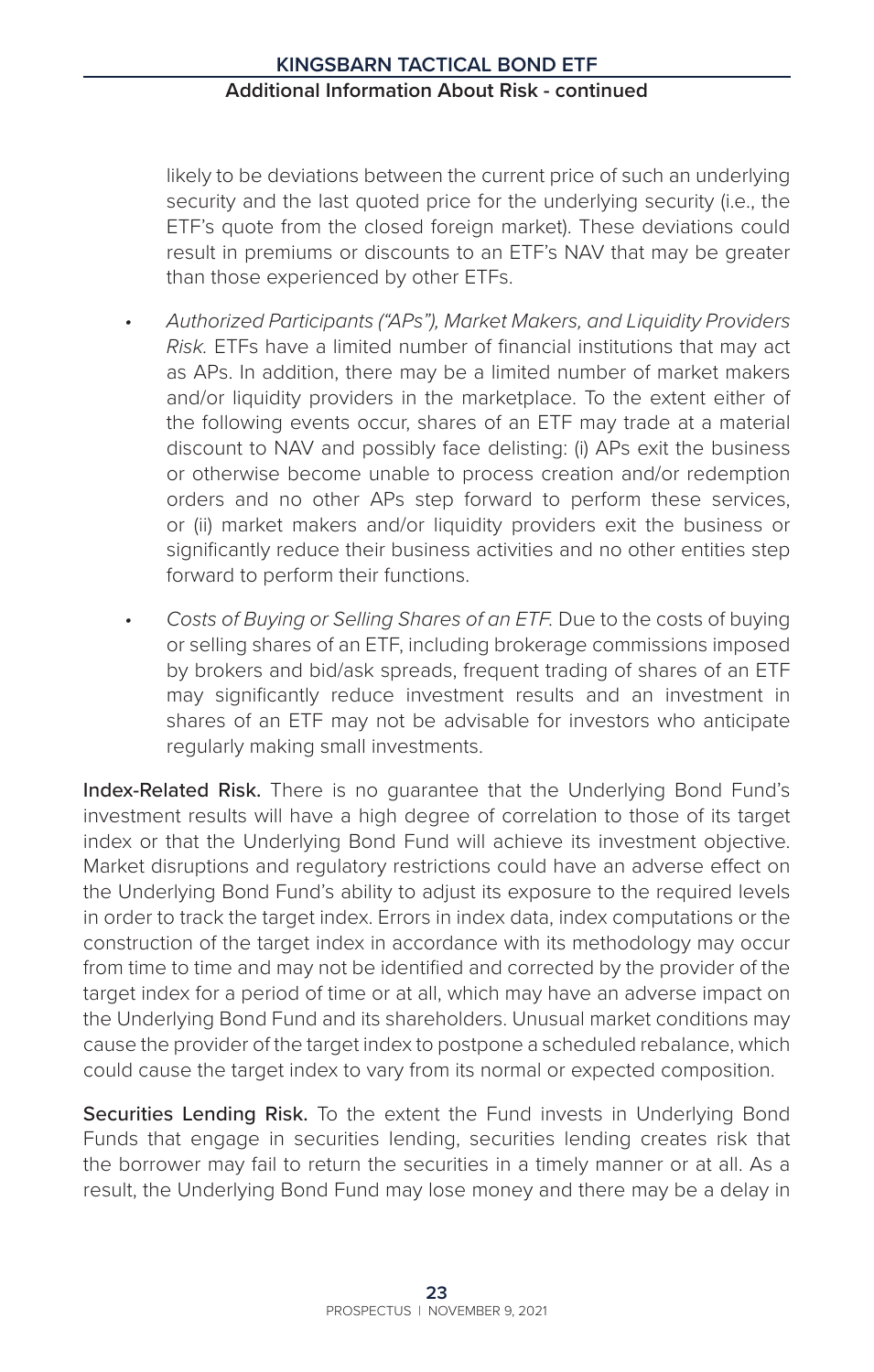likely to be deviations between the current price of such an underlying security and the last quoted price for the underlying security (i.e., the ETF's quote from the closed foreign market). These deviations could result in premiums or discounts to an ETF's NAV that may be greater than those experienced by other ETFs.

- *• Authorized Participants ("APs"), Market Makers, and Liquidity Providers Risk.* ETFs have a limited number of financial institutions that may act as APs. In addition, there may be a limited number of market makers and/or liquidity providers in the marketplace. To the extent either of the following events occur, shares of an ETF may trade at a material discount to NAV and possibly face delisting: (i) APs exit the business or otherwise become unable to process creation and/or redemption orders and no other APs step forward to perform these services, or (ii) market makers and/or liquidity providers exit the business or significantly reduce their business activities and no other entities step forward to perform their functions.
- *• Costs of Buying or Selling Shares of an ETF.* Due to the costs of buying or selling shares of an ETF, including brokerage commissions imposed by brokers and bid/ask spreads, frequent trading of shares of an ETF may significantly reduce investment results and an investment in shares of an ETF may not be advisable for investors who anticipate regularly making small investments.

Index-Related Risk. There is no quarantee that the Underlying Bond Fund's investment results will have a high degree of correlation to those of its target index or that the Underlying Bond Fund will achieve its investment objective. Market disruptions and regulatory restrictions could have an adverse effect on the Underlying Bond Fund's ability to adjust its exposure to the required levels in order to track the target index. Errors in index data, index computations or the construction of the target index in accordance with its methodology may occur from time to time and may not be identified and corrected by the provider of the target index for a period of time or at all, which may have an adverse impact on the Underlying Bond Fund and its shareholders. Unusual market conditions may cause the provider of the target index to postpone a scheduled rebalance, which could cause the target index to vary from its normal or expected composition.

Securities Lending Risk. To the extent the Fund invests in Underlying Bond Funds that engage in securities lending, securities lending creates risk that the borrower may fail to return the securities in a timely manner or at all. As a result, the Underlying Bond Fund may lose money and there may be a delay in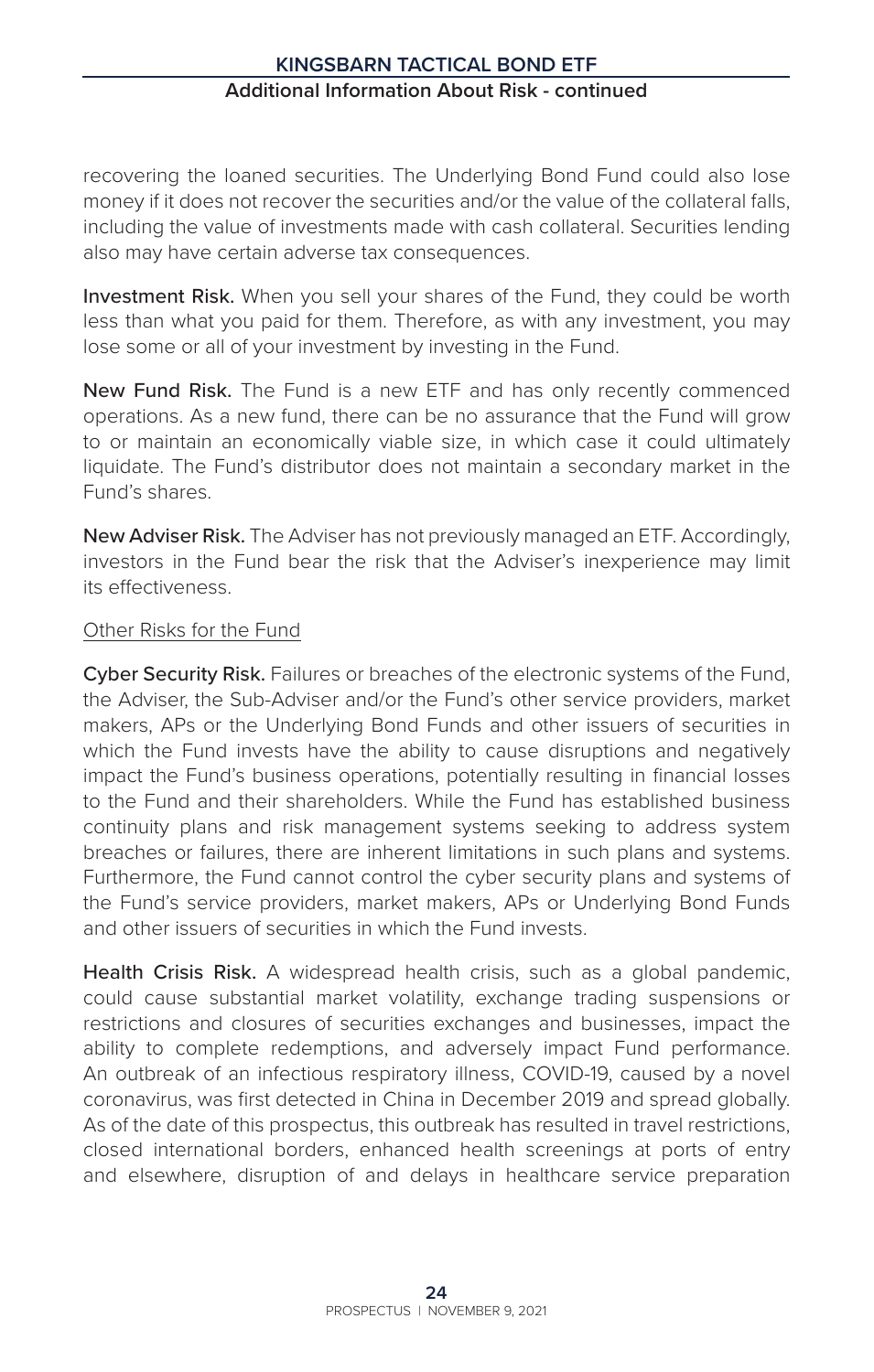recovering the loaned securities. The Underlying Bond Fund could also lose money if it does not recover the securities and/or the value of the collateral falls, including the value of investments made with cash collateral. Securities lending also may have certain adverse tax consequences.

Investment Risk. When you sell your shares of the Fund, they could be worth less than what you paid for them. Therefore, as with any investment, you may lose some or all of your investment by investing in the Fund.

New Fund Risk. The Fund is a new ETF and has only recently commenced operations. As a new fund, there can be no assurance that the Fund will grow to or maintain an economically viable size, in which case it could ultimately liquidate. The Fund's distributor does not maintain a secondary market in the Fund's shares.

New Adviser Risk. The Adviser has not previously managed an ETF. Accordingly, investors in the Fund bear the risk that the Adviser's inexperience may limit its effectiveness.

#### Other Risks for the Fund

Cyber Security Risk. Failures or breaches of the electronic systems of the Fund, the Adviser, the Sub-Adviser and/or the Fund's other service providers, market makers, APs or the Underlying Bond Funds and other issuers of securities in which the Fund invests have the ability to cause disruptions and negatively impact the Fund's business operations, potentially resulting in financial losses to the Fund and their shareholders. While the Fund has established business continuity plans and risk management systems seeking to address system breaches or failures, there are inherent limitations in such plans and systems. Furthermore, the Fund cannot control the cyber security plans and systems of the Fund's service providers, market makers, APs or Underlying Bond Funds and other issuers of securities in which the Fund invests.

Health Crisis Risk. A widespread health crisis, such as a global pandemic, could cause substantial market volatility, exchange trading suspensions or restrictions and closures of securities exchanges and businesses, impact the ability to complete redemptions, and adversely impact Fund performance. An outbreak of an infectious respiratory illness, COVID-19, caused by a novel coronavirus, was first detected in China in December 2019 and spread globally. As of the date of this prospectus, this outbreak has resulted in travel restrictions, closed international borders, enhanced health screenings at ports of entry and elsewhere, disruption of and delays in healthcare service preparation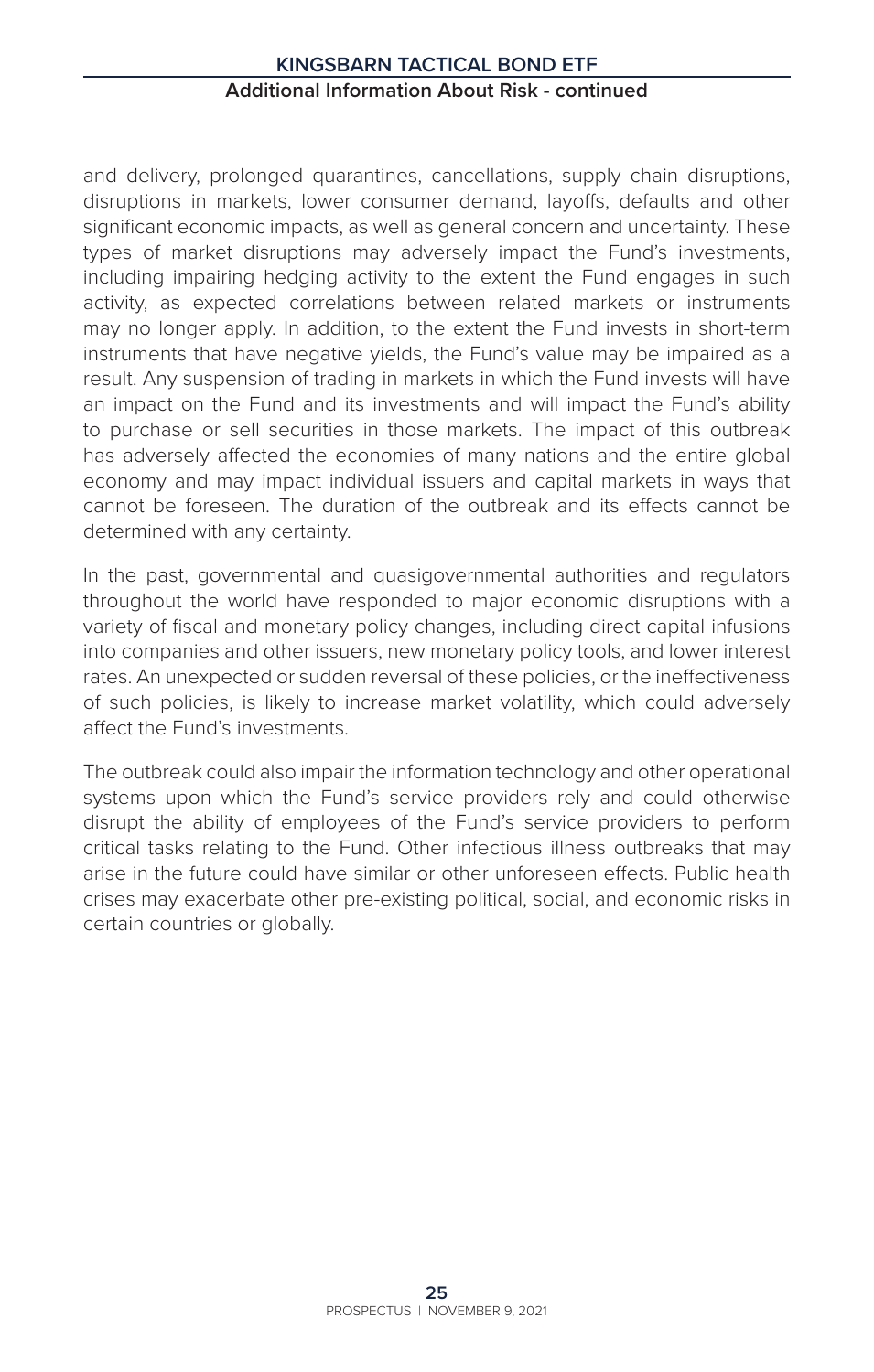and delivery, prolonged quarantines, cancellations, supply chain disruptions, disruptions in markets, lower consumer demand, layoffs, defaults and other significant economic impacts, as well as general concern and uncertainty. These types of market disruptions may adversely impact the Fund's investments, including impairing hedging activity to the extent the Fund engages in such activity, as expected correlations between related markets or instruments may no longer apply. In addition, to the extent the Fund invests in short-term instruments that have negative yields, the Fund's value may be impaired as a result. Any suspension of trading in markets in which the Fund invests will have an impact on the Fund and its investments and will impact the Fund's ability to purchase or sell securities in those markets. The impact of this outbreak has adversely affected the economies of many nations and the entire global economy and may impact individual issuers and capital markets in ways that cannot be foreseen. The duration of the outbreak and its effects cannot be determined with any certainty.

In the past, governmental and quasigovernmental authorities and regulators throughout the world have responded to major economic disruptions with a variety of fiscal and monetary policy changes, including direct capital infusions into companies and other issuers, new monetary policy tools, and lower interest rates. An unexpected or sudden reversal of these policies, or the ineffectiveness of such policies, is likely to increase market volatility, which could adversely affect the Fund's investments.

The outbreak could also impair the information technology and other operational systems upon which the Fund's service providers rely and could otherwise disrupt the ability of employees of the Fund's service providers to perform critical tasks relating to the Fund. Other infectious illness outbreaks that may arise in the future could have similar or other unforeseen effects. Public health crises may exacerbate other pre-existing political, social, and economic risks in certain countries or globally.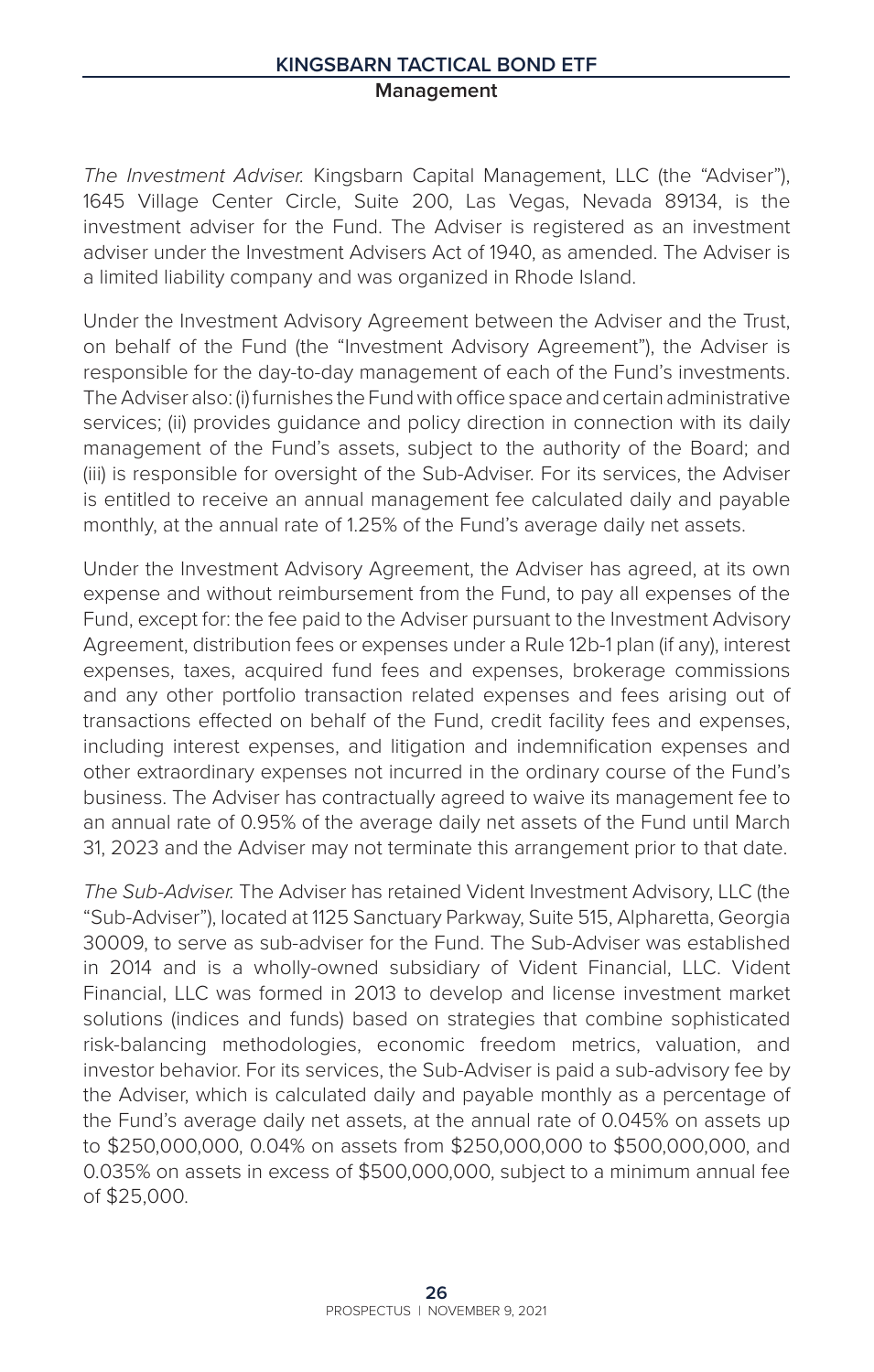#### **Kingsbarn Tactical Bond ETF Management**

*The Investment Adviser.* Kingsbarn Capital Management, LLC (the "Adviser"), 1645 Village Center Circle, Suite 200, Las Vegas, Nevada 89134, is the investment adviser for the Fund. The Adviser is registered as an investment adviser under the Investment Advisers Act of 1940, as amended. The Adviser is a limited liability company and was organized in Rhode Island.

Under the Investment Advisory Agreement between the Adviser and the Trust, on behalf of the Fund (the "Investment Advisory Agreement"), the Adviser is responsible for the day-to-day management of each of the Fund's investments. The Adviser also: (i) furnishes the Fund with office space and certain administrative services; (ii) provides quidance and policy direction in connection with its daily management of the Fund's assets, subject to the authority of the Board; and (iii) is responsible for oversight of the Sub-Adviser. For its services, the Adviser is entitled to receive an annual management fee calculated daily and payable monthly, at the annual rate of 1.25% of the Fund's average daily net assets.

Under the Investment Advisory Agreement, the Adviser has agreed, at its own expense and without reimbursement from the Fund, to pay all expenses of the Fund, except for: the fee paid to the Adviser pursuant to the Investment Advisory Agreement, distribution fees or expenses under a Rule 12b-1 plan (if any), interest expenses, taxes, acquired fund fees and expenses, brokerage commissions and any other portfolio transaction related expenses and fees arising out of transactions effected on behalf of the Fund, credit facility fees and expenses, including interest expenses, and litigation and indemnification expenses and other extraordinary expenses not incurred in the ordinary course of the Fund's business. The Adviser has contractually agreed to waive its management fee to an annual rate of 0.95% of the average daily net assets of the Fund until March 31, 2023 and the Adviser may not terminate this arrangement prior to that date.

*The Sub-Adviser.* The Adviser has retained Vident Investment Advisory, LLC (the "Sub-Adviser"), located at 1125 Sanctuary Parkway, Suite 515, Alpharetta, Georgia 30009, to serve as sub-adviser for the Fund. The Sub-Adviser was established in 2014 and is a wholly-owned subsidiary of Vident Financial, LLC. Vident Financial, LLC was formed in 2013 to develop and license investment market solutions (indices and funds) based on strategies that combine sophisticated risk-balancing methodologies, economic freedom metrics, valuation, and investor behavior. For its services, the Sub-Adviser is paid a sub-advisory fee by the Adviser, which is calculated daily and payable monthly as a percentage of the Fund's average daily net assets, at the annual rate of 0.045% on assets up to \$250,000,000, 0.04% on assets from \$250,000,000 to \$500,000,000, and 0.035% on assets in excess of \$500,000,000, subject to a minimum annual fee of \$25,000.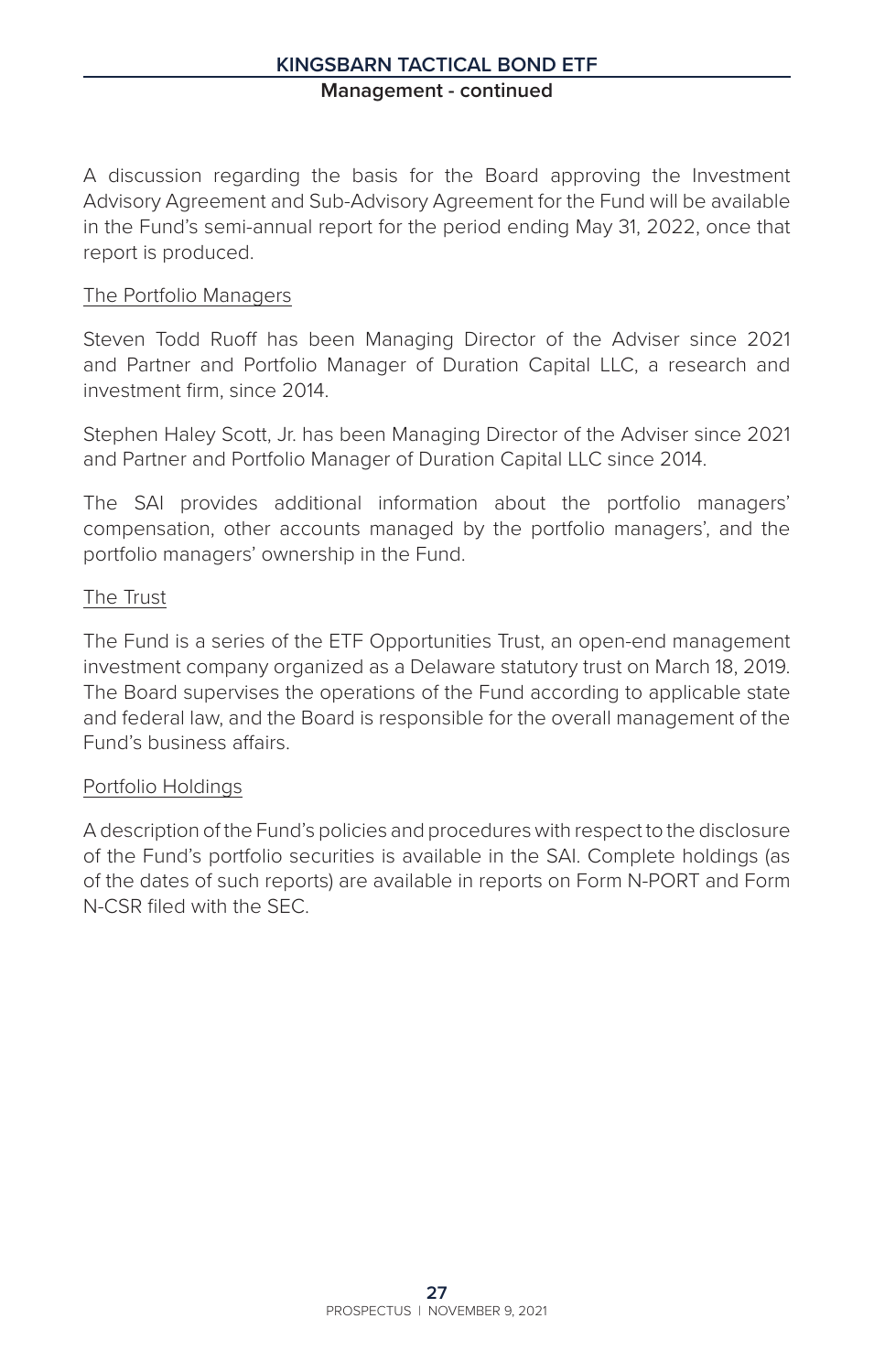A discussion regarding the basis for the Board approving the Investment Advisory Agreement and Sub-Advisory Agreement for the Fund will be available in the Fund's semi-annual report for the period ending May 31, 2022, once that report is produced.

#### The Portfolio Managers

Steven Todd Ruoff has been Managing Director of the Adviser since 2021 and Partner and Portfolio Manager of Duration Capital LLC, a research and investment firm, since 2014.

Stephen Haley Scott, Jr. has been Managing Director of the Adviser since 2021 and Partner and Portfolio Manager of Duration Capital LLC since 2014.

The SAI provides additional information about the portfolio managers' compensation, other accounts managed by the portfolio managers', and the portfolio managers' ownership in the Fund.

#### The Trust

The Fund is a series of the ETF Opportunities Trust, an open-end management investment company organized as a Delaware statutory trust on March 18, 2019. The Board supervises the operations of the Fund according to applicable state and federal law, and the Board is responsible for the overall management of the Fund's business affairs.

#### Portfolio Holdings

A description of the Fund's policies and procedures with respect to the disclosure of the Fund's portfolio securities is available in the SAI. Complete holdings (as of the dates of such reports) are available in reports on Form N-PORT and Form N-CSR filed with the SEC.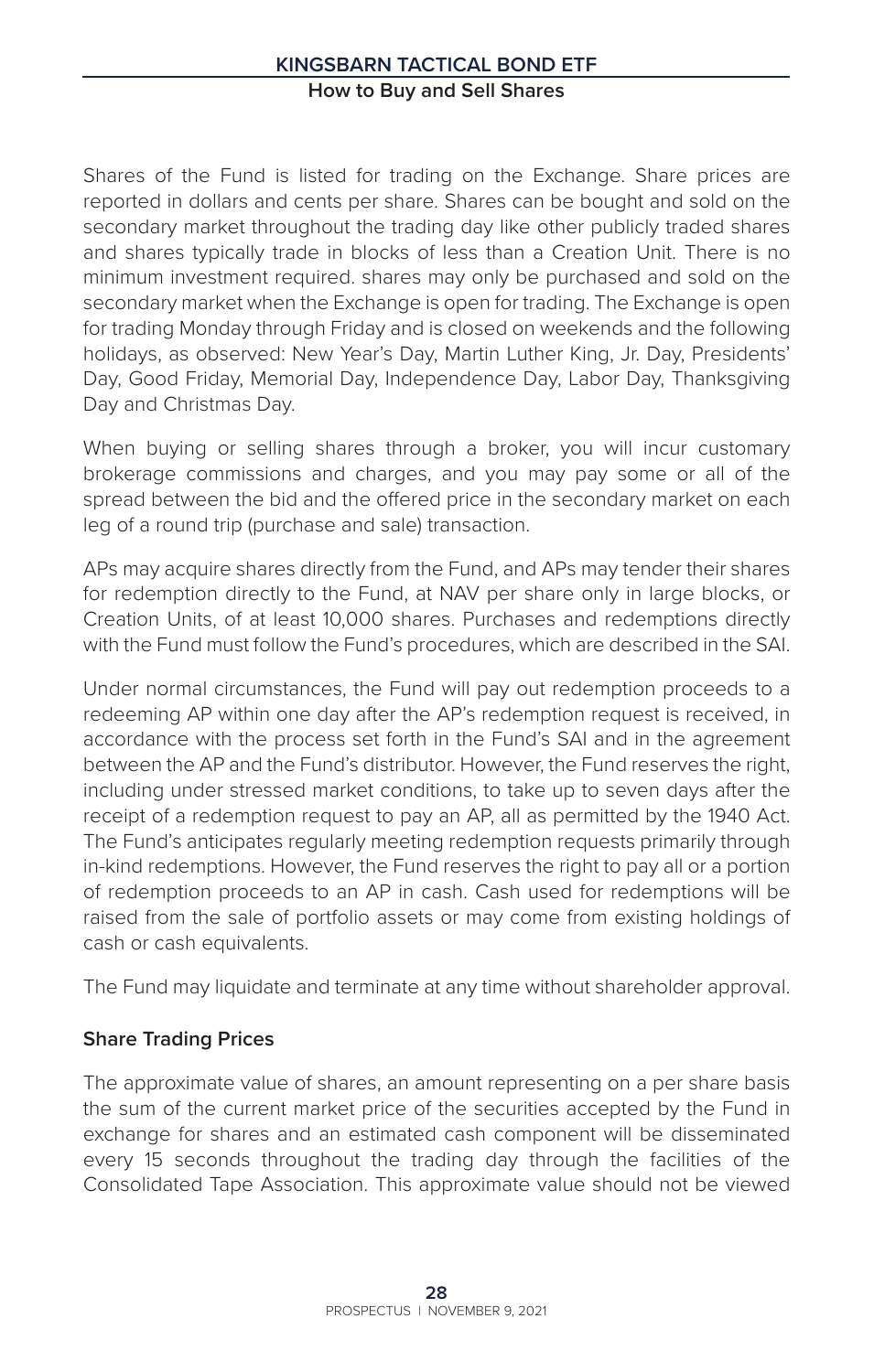# **Kingsbarn Tactical Bond ETF How to Buy and Sell Shares**

Shares of the Fund is listed for trading on the Exchange. Share prices are reported in dollars and cents per share. Shares can be bought and sold on the secondary market throughout the trading day like other publicly traded shares and shares typically trade in blocks of less than a Creation Unit. There is no minimum investment required. shares may only be purchased and sold on the secondary market when the Exchange is open for trading. The Exchange is open for trading Monday through Friday and is closed on weekends and the following holidays, as observed: New Year's Day, Martin Luther King, Jr. Day, Presidents' Day, Good Friday, Memorial Day, Independence Day, Labor Day, Thanksgiving Day and Christmas Day.

When buying or selling shares through a broker, you will incur customary brokerage commissions and charges, and you may pay some or all of the spread between the bid and the offered price in the secondary market on each leg of a round trip (purchase and sale) transaction.

APs may acquire shares directly from the Fund, and APs may tender their shares for redemption directly to the Fund, at NAV per share only in large blocks, or Creation Units, of at least 10,000 shares. Purchases and redemptions directly with the Fund must follow the Fund's procedures, which are described in the SAI.

Under normal circumstances, the Fund will pay out redemption proceeds to a redeeming AP within one day after the AP's redemption request is received, in accordance with the process set forth in the Fund's SAI and in the agreement between the AP and the Fund's distributor. However, the Fund reserves the right, including under stressed market conditions, to take up to seven days after the receipt of a redemption request to pay an AP, all as permitted by the 1940 Act. The Fund's anticipates regularly meeting redemption requests primarily through in-kind redemptions. However, the Fund reserves the right to pay all or a portion of redemption proceeds to an AP in cash. Cash used for redemptions will be raised from the sale of portfolio assets or may come from existing holdings of cash or cash equivalents.

The Fund may liquidate and terminate at any time without shareholder approval.

#### **Share Trading Prices**

The approximate value of shares, an amount representing on a per share basis the sum of the current market price of the securities accepted by the Fund in exchange for shares and an estimated cash component will be disseminated every 15 seconds throughout the trading day through the facilities of the Consolidated Tape Association. This approximate value should not be viewed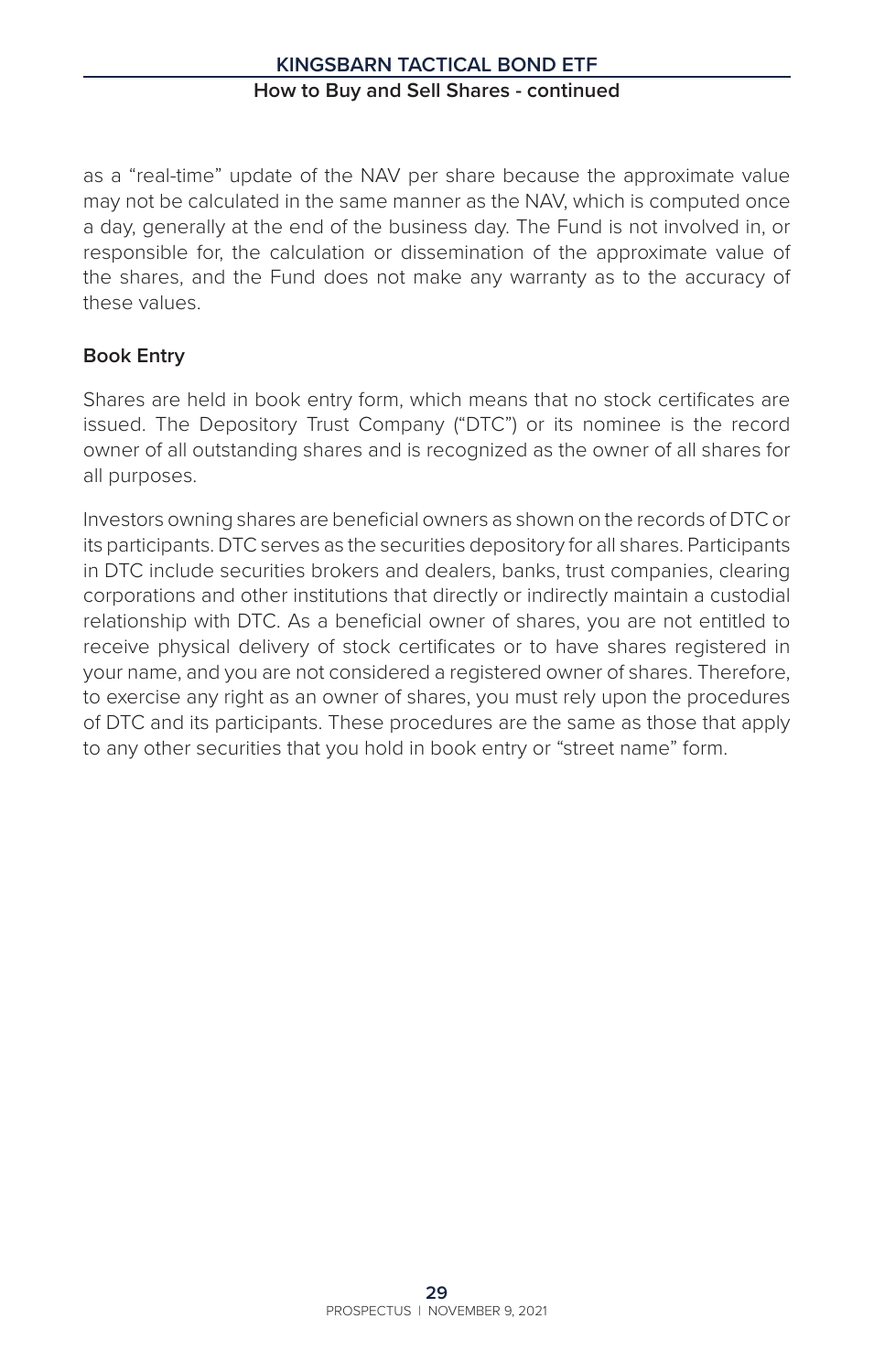as a "real-time" update of the NAV per share because the approximate value may not be calculated in the same manner as the NAV, which is computed once a day, generally at the end of the business day. The Fund is not involved in, or responsible for, the calculation or dissemination of the approximate value of the shares, and the Fund does not make any warranty as to the accuracy of these values.

# **Book Entry**

Shares are held in book entry form, which means that no stock certificates are issued. The Depository Trust Company ("DTC") or its nominee is the record owner of all outstanding shares and is recognized as the owner of all shares for all purposes.

Investors owning shares are beneficial owners as shown on the records of DTC or its participants. DTC serves as the securities depository for all shares. Participants in DTC include securities brokers and dealers, banks, trust companies, clearing corporations and other institutions that directly or indirectly maintain a custodial relationship with DTC. As a beneficial owner of shares, you are not entitled to receive physical delivery of stock certificates or to have shares registered in your name, and you are not considered a registered owner of shares. Therefore, to exercise any right as an owner of shares, you must rely upon the procedures of DTC and its participants. These procedures are the same as those that apply to any other securities that you hold in book entry or "street name" form.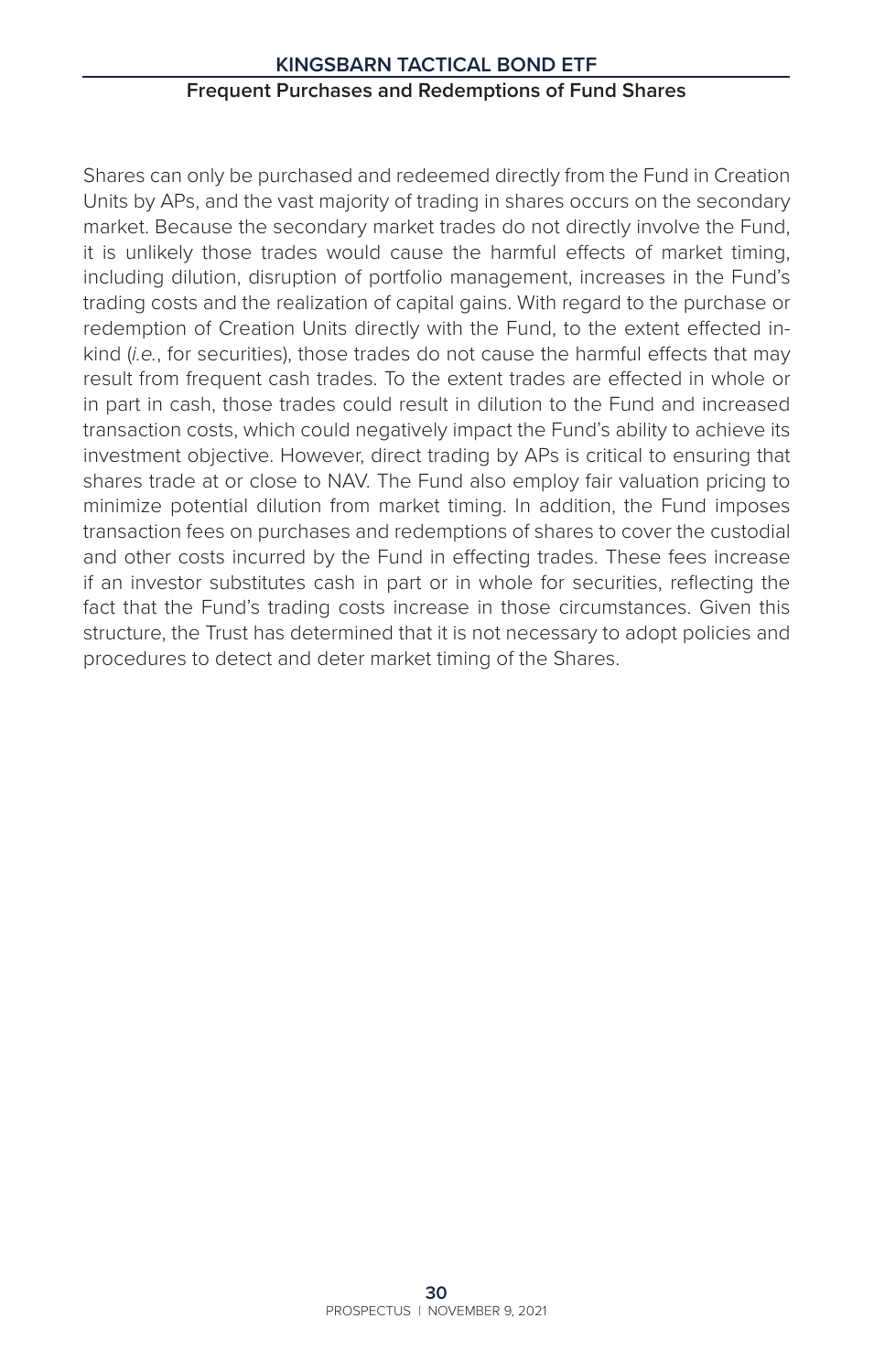# **Kingsbarn Tactical Bond ETF Frequent Purchases and Redemptions of Fund Shares**

Shares can only be purchased and redeemed directly from the Fund in Creation Units by APs, and the vast majority of trading in shares occurs on the secondary market. Because the secondary market trades do not directly involve the Fund, it is unlikely those trades would cause the harmful effects of market timing, including dilution, disruption of portfolio management, increases in the Fund's trading costs and the realization of capital gains. With regard to the purchase or redemption of Creation Units directly with the Fund, to the extent effected inkind (*i.e.*, for securities), those trades do not cause the harmful effects that may result from frequent cash trades. To the extent trades are effected in whole or in part in cash, those trades could result in dilution to the Fund and increased transaction costs, which could negatively impact the Fund's ability to achieve its investment objective. However, direct trading by APs is critical to ensuring that shares trade at or close to NAV. The Fund also employ fair valuation pricing to minimize potential dilution from market timing. In addition, the Fund imposes transaction fees on purchases and redemptions of shares to cover the custodial and other costs incurred by the Fund in effecting trades. These fees increase if an investor substitutes cash in part or in whole for securities, reflecting the fact that the Fund's trading costs increase in those circumstances. Given this structure, the Trust has determined that it is not necessary to adopt policies and procedures to detect and deter market timing of the Shares.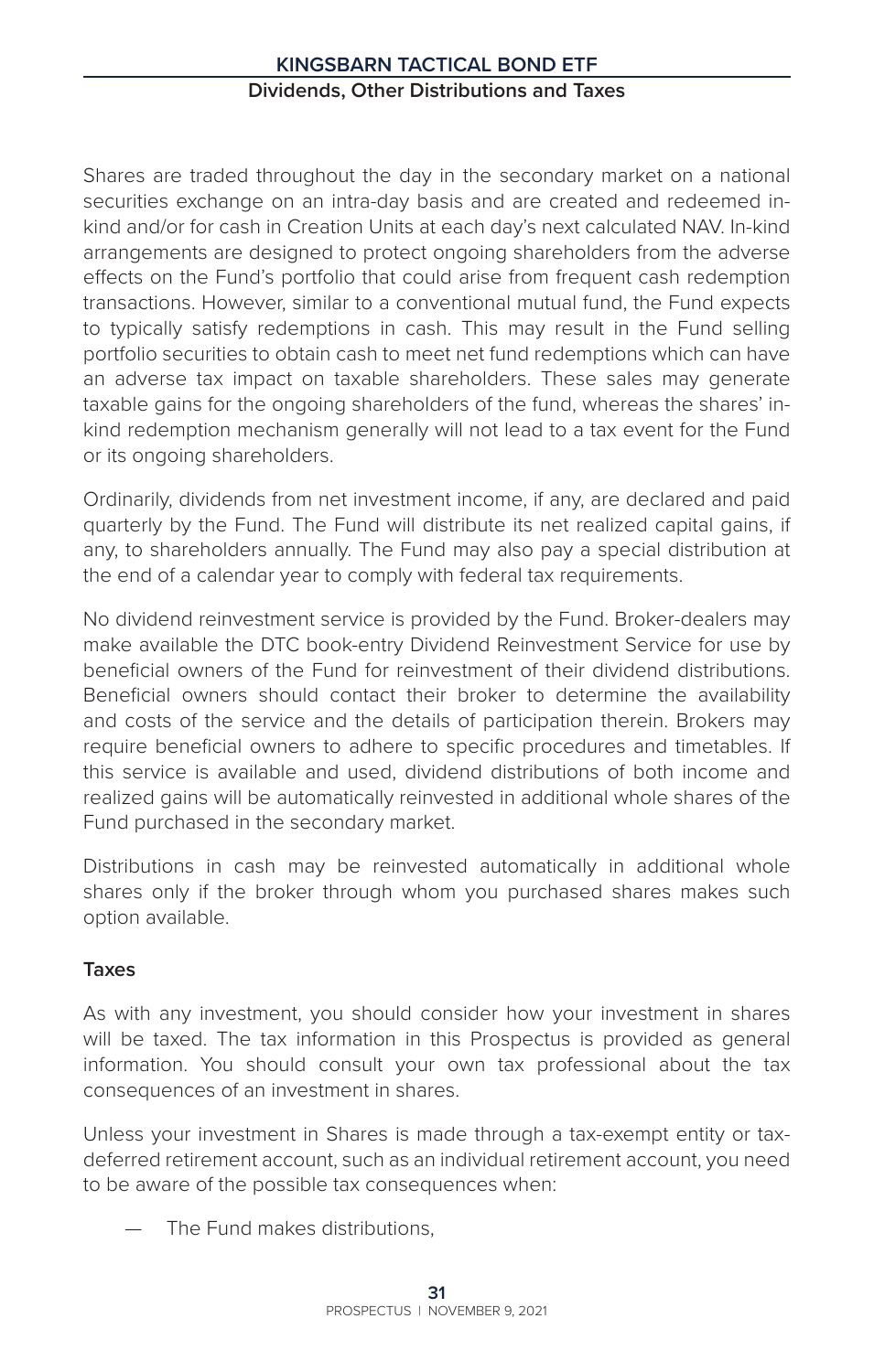# **Kingsbarn Tactical Bond ETF Dividends, Other Distributions and Taxes**

Shares are traded throughout the day in the secondary market on a national securities exchange on an intra-day basis and are created and redeemed inkind and/or for cash in Creation Units at each day's next calculated NAV. In-kind arrangements are designed to protect ongoing shareholders from the adverse effects on the Fund's portfolio that could arise from frequent cash redemption transactions. However, similar to a conventional mutual fund, the Fund expects to typically satisfy redemptions in cash. This may result in the Fund selling portfolio securities to obtain cash to meet net fund redemptions which can have an adverse tax impact on taxable shareholders. These sales may generate taxable gains for the ongoing shareholders of the fund, whereas the shares' inkind redemption mechanism generally will not lead to a tax event for the Fund or its ongoing shareholders.

Ordinarily, dividends from net investment income, if any, are declared and paid quarterly by the Fund. The Fund will distribute its net realized capital gains, if any, to shareholders annually. The Fund may also pay a special distribution at the end of a calendar year to comply with federal tax requirements.

No dividend reinvestment service is provided by the Fund. Broker-dealers may make available the DTC book-entry Dividend Reinvestment Service for use by beneficial owners of the Fund for reinvestment of their dividend distributions. Beneficial owners should contact their broker to determine the availability and costs of the service and the details of participation therein. Brokers may require beneficial owners to adhere to specific procedures and timetables. If this service is available and used, dividend distributions of both income and realized gains will be automatically reinvested in additional whole shares of the Fund purchased in the secondary market.

Distributions in cash may be reinvested automatically in additional whole shares only if the broker through whom you purchased shares makes such option available.

# **Taxes**

As with any investment, you should consider how your investment in shares will be taxed. The tax information in this Prospectus is provided as general information. You should consult your own tax professional about the tax consequences of an investment in shares.

Unless your investment in Shares is made through a tax-exempt entity or taxdeferred retirement account, such as an individual retirement account, you need to be aware of the possible tax consequences when:

The Fund makes distributions.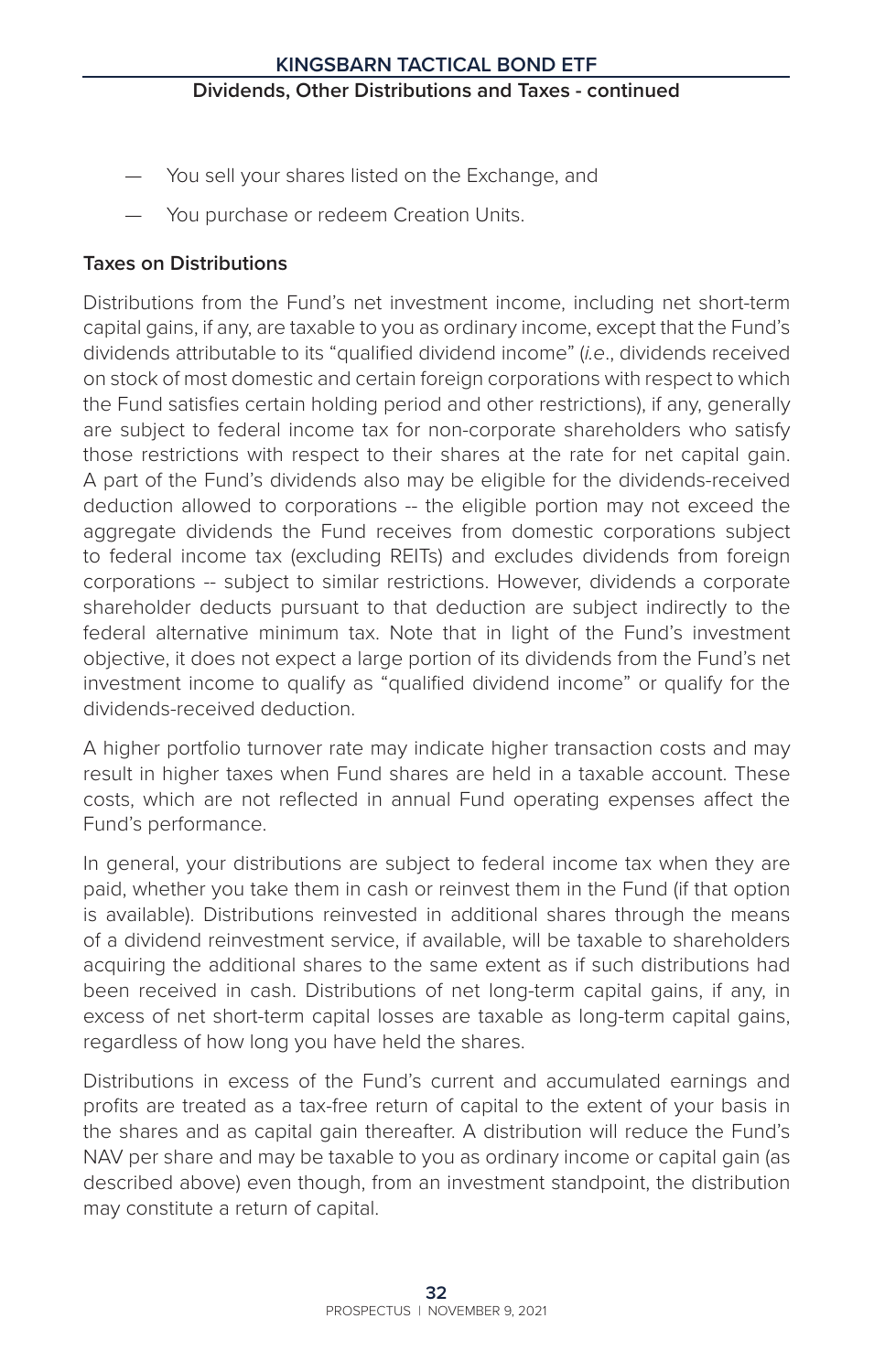- You sell your shares listed on the Exchange, and
- You purchase or redeem Creation Units.

# **Taxes on Distributions**

Distributions from the Fund's net investment income, including net short-term capital gains, if any, are taxable to you as ordinary income, except that the Fund's dividends attributable to its "qualified dividend income" (*i.e*., dividends received on stock of most domestic and certain foreign corporations with respect to which the Fund satisfies certain holding period and other restrictions), if any, generally are subject to federal income tax for non-corporate shareholders who satisfy those restrictions with respect to their shares at the rate for net capital gain. A part of the Fund's dividends also may be eligible for the dividends-received deduction allowed to corporations -- the eligible portion may not exceed the aggregate dividends the Fund receives from domestic corporations subject to federal income tax (excluding REITs) and excludes dividends from foreign corporations -- subject to similar restrictions. However, dividends a corporate shareholder deducts pursuant to that deduction are subject indirectly to the federal alternative minimum tax. Note that in light of the Fund's investment objective, it does not expect a large portion of its dividends from the Fund's net investment income to qualify as "qualified dividend income" or qualify for the dividends-received deduction.

A higher portfolio turnover rate may indicate higher transaction costs and may result in higher taxes when Fund shares are held in a taxable account. These costs, which are not reflected in annual Fund operating expenses affect the Fund's performance.

In general, your distributions are subject to federal income tax when they are paid, whether you take them in cash or reinvest them in the Fund (if that option is available). Distributions reinvested in additional shares through the means of a dividend reinvestment service, if available, will be taxable to shareholders acquiring the additional shares to the same extent as if such distributions had been received in cash. Distributions of net long-term capital gains, if any, in excess of net short-term capital losses are taxable as long-term capital gains, regardless of how long you have held the shares.

Distributions in excess of the Fund's current and accumulated earnings and profits are treated as a tax-free return of capital to the extent of your basis in the shares and as capital gain thereafter. A distribution will reduce the Fund's NAV per share and may be taxable to you as ordinary income or capital gain (as described above) even though, from an investment standpoint, the distribution may constitute a return of capital.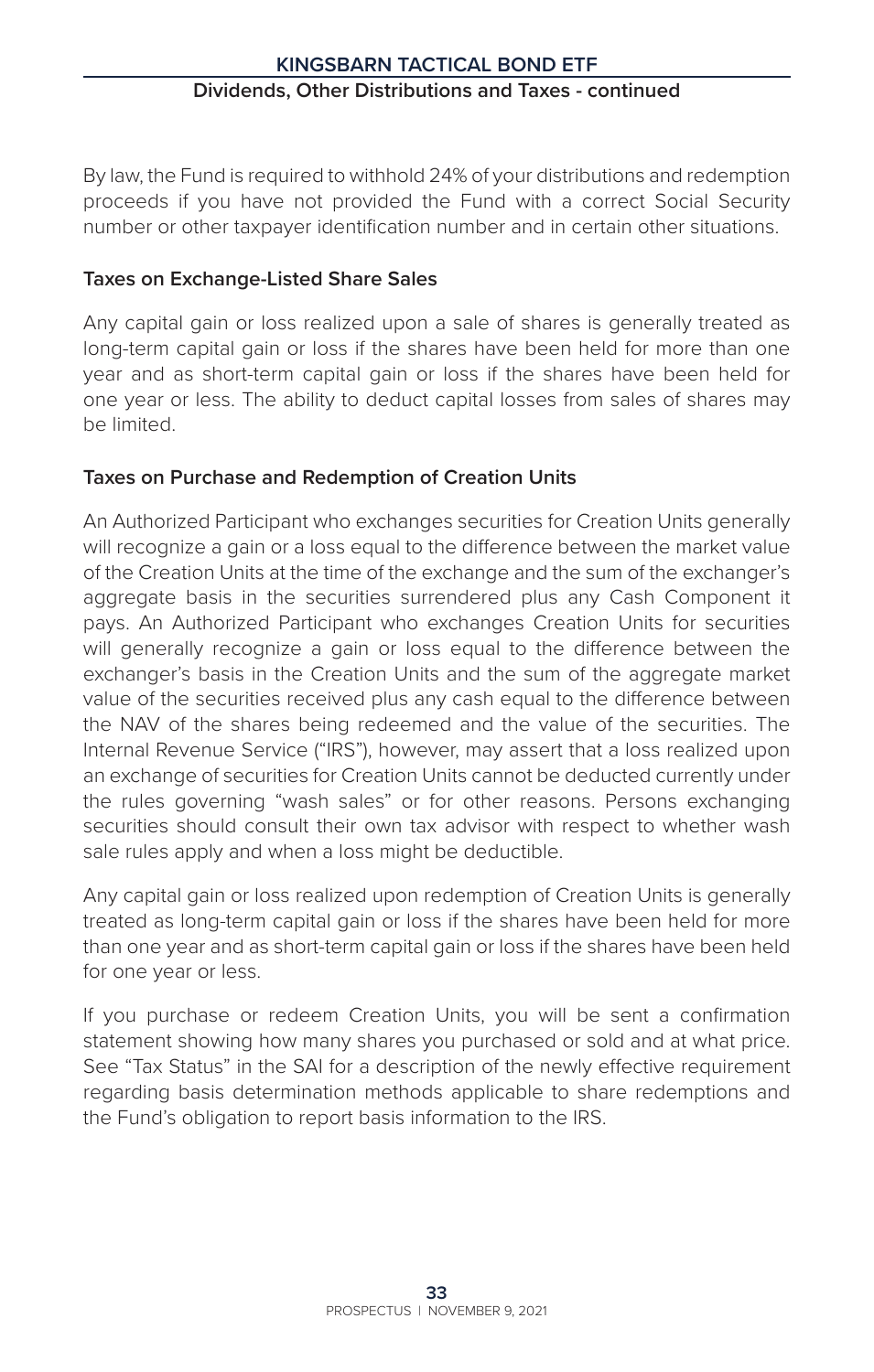By law, the Fund is required to withhold 24% of your distributions and redemption proceeds if you have not provided the Fund with a correct Social Security number or other taxpayer identification number and in certain other situations.

# **Taxes on Exchange-Listed Share Sales**

Any capital gain or loss realized upon a sale of shares is generally treated as long-term capital gain or loss if the shares have been held for more than one year and as short-term capital gain or loss if the shares have been held for one year or less. The ability to deduct capital losses from sales of shares may be limited.

# **Taxes on Purchase and Redemption of Creation Units**

An Authorized Participant who exchanges securities for Creation Units generally will recognize a gain or a loss equal to the difference between the market value of the Creation Units at the time of the exchange and the sum of the exchanger's aggregate basis in the securities surrendered plus any Cash Component it pays. An Authorized Participant who exchanges Creation Units for securities will generally recognize a gain or loss equal to the difference between the exchanger's basis in the Creation Units and the sum of the aggregate market value of the securities received plus any cash equal to the difference between the NAV of the shares being redeemed and the value of the securities. The Internal Revenue Service ("IRS"), however, may assert that a loss realized upon an exchange of securities for Creation Units cannot be deducted currently under the rules governing "wash sales" or for other reasons. Persons exchanging securities should consult their own tax advisor with respect to whether wash sale rules apply and when a loss might be deductible.

Any capital gain or loss realized upon redemption of Creation Units is generally treated as long-term capital gain or loss if the shares have been held for more than one year and as short-term capital gain or loss if the shares have been held for one year or less.

If you purchase or redeem Creation Units, you will be sent a confirmation statement showing how many shares you purchased or sold and at what price. See "Tax Status" in the SAI for a description of the newly effective requirement regarding basis determination methods applicable to share redemptions and the Fund's obligation to report basis information to the IRS.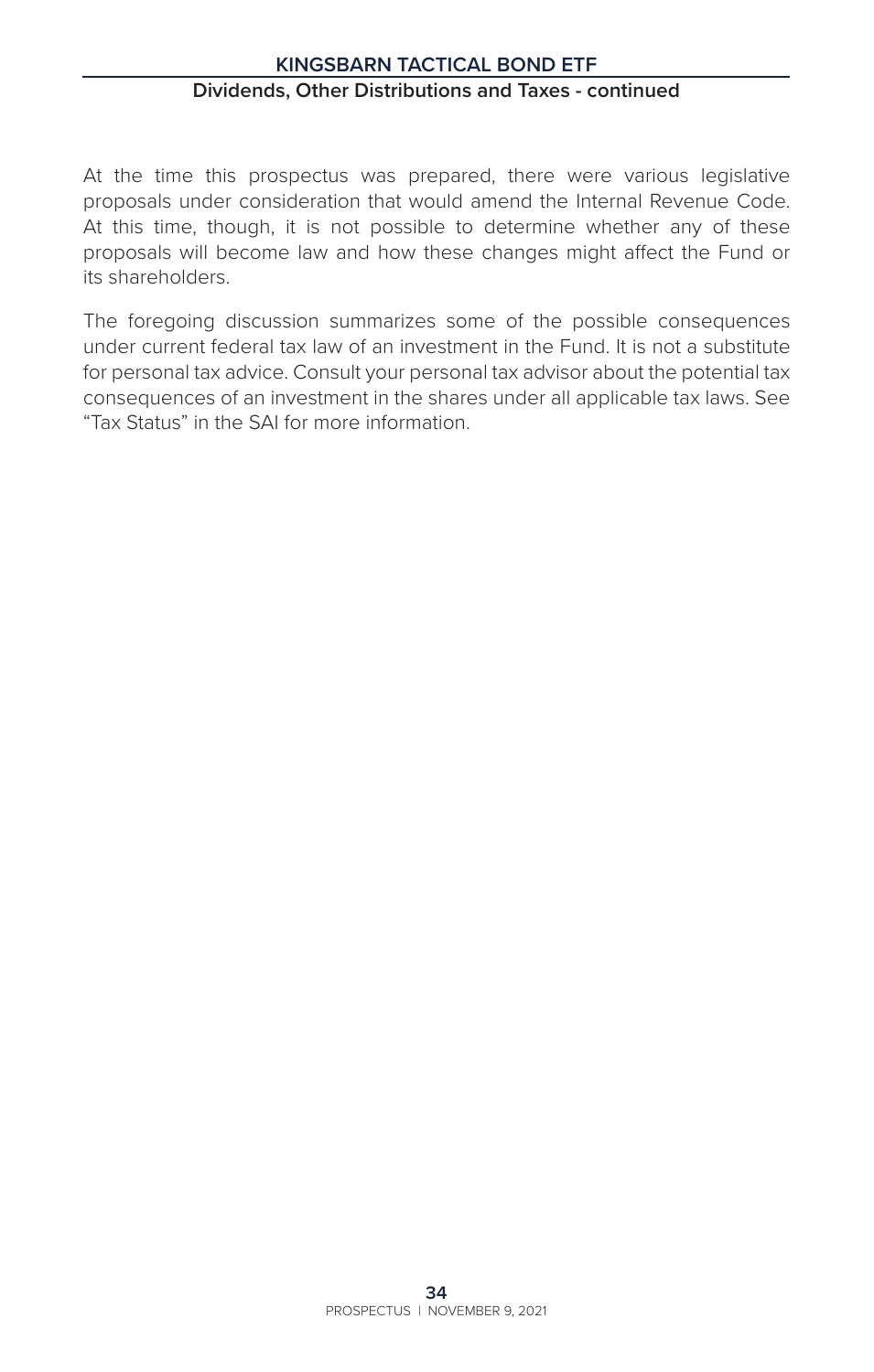# **Kingsbarn Tactical Bond ETF Dividends, Other Distributions and Taxes - continued**

At the time this prospectus was prepared, there were various legislative proposals under consideration that would amend the Internal Revenue Code. At this time, though, it is not possible to determine whether any of these proposals will become law and how these changes might affect the Fund or its shareholders.

The foregoing discussion summarizes some of the possible consequences under current federal tax law of an investment in the Fund. It is not a substitute for personal tax advice. Consult your personal tax advisor about the potential tax consequences of an investment in the shares under all applicable tax laws. See "Tax Status" in the SAI for more information.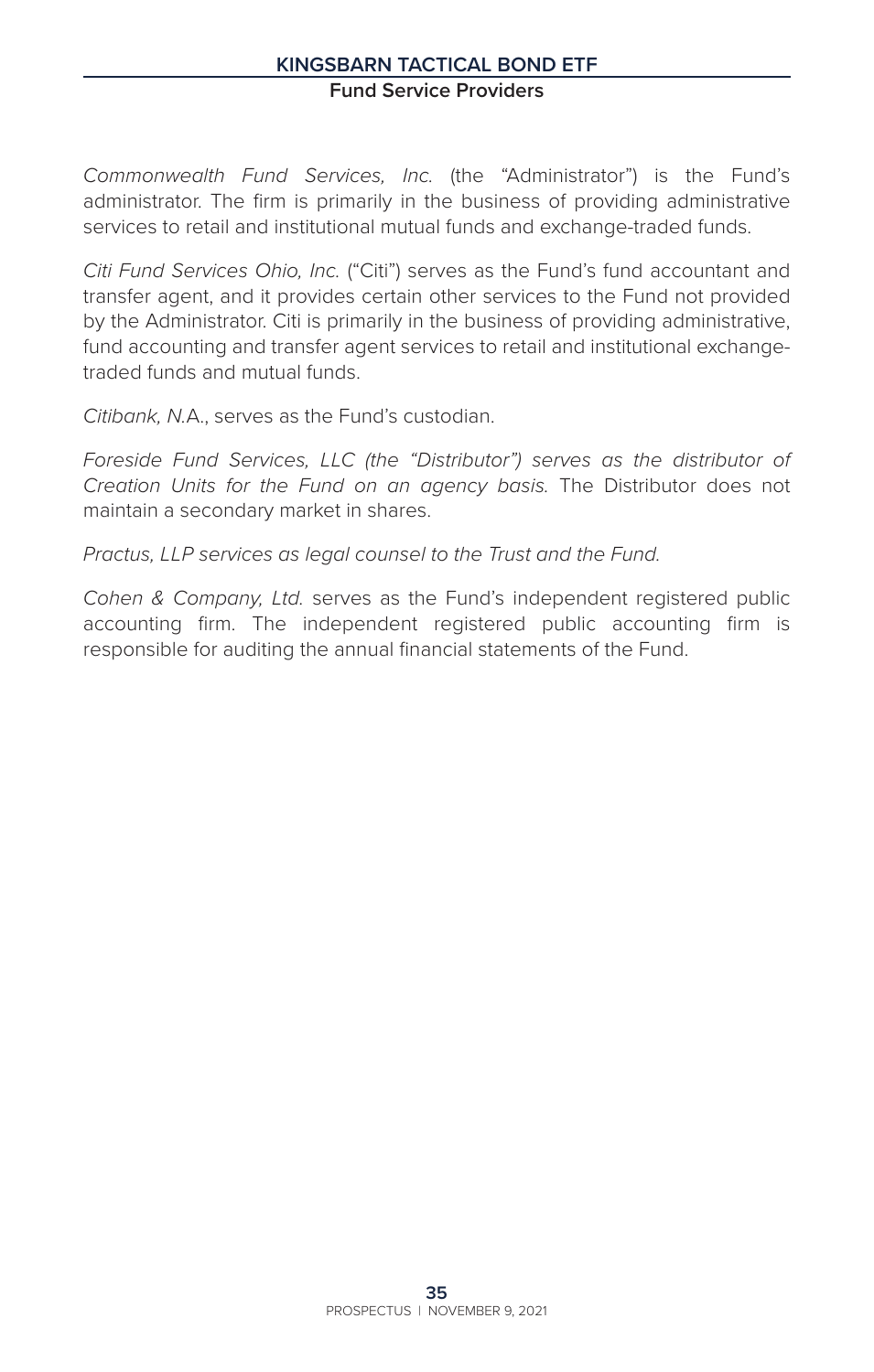# **Kingsbarn Tactical Bond ETF Fund Service Providers**

*Commonwealth Fund Services, Inc.* (the "Administrator") is the Fund's administrator. The firm is primarily in the business of providing administrative services to retail and institutional mutual funds and exchange-traded funds.

*Citi Fund Services Ohio, Inc.* ("Citi") serves as the Fund's fund accountant and transfer agent, and it provides certain other services to the Fund not provided by the Administrator. Citi is primarily in the business of providing administrative, fund accounting and transfer agent services to retail and institutional exchangetraded funds and mutual funds.

*Citibank, N.*A., serves as the Fund's custodian.

*Foreside Fund Services, LLC (the "Distributor") serves as the distributor of Creation Units for the Fund on an agency basis.* The Distributor does not maintain a secondary market in shares.

*Practus, LLP services as legal counsel to the Trust and the Fund.*

*Cohen & Company, Ltd.* serves as the Fund's independent registered public accounting firm. The independent registered public accounting firm is responsible for auditing the annual financial statements of the Fund.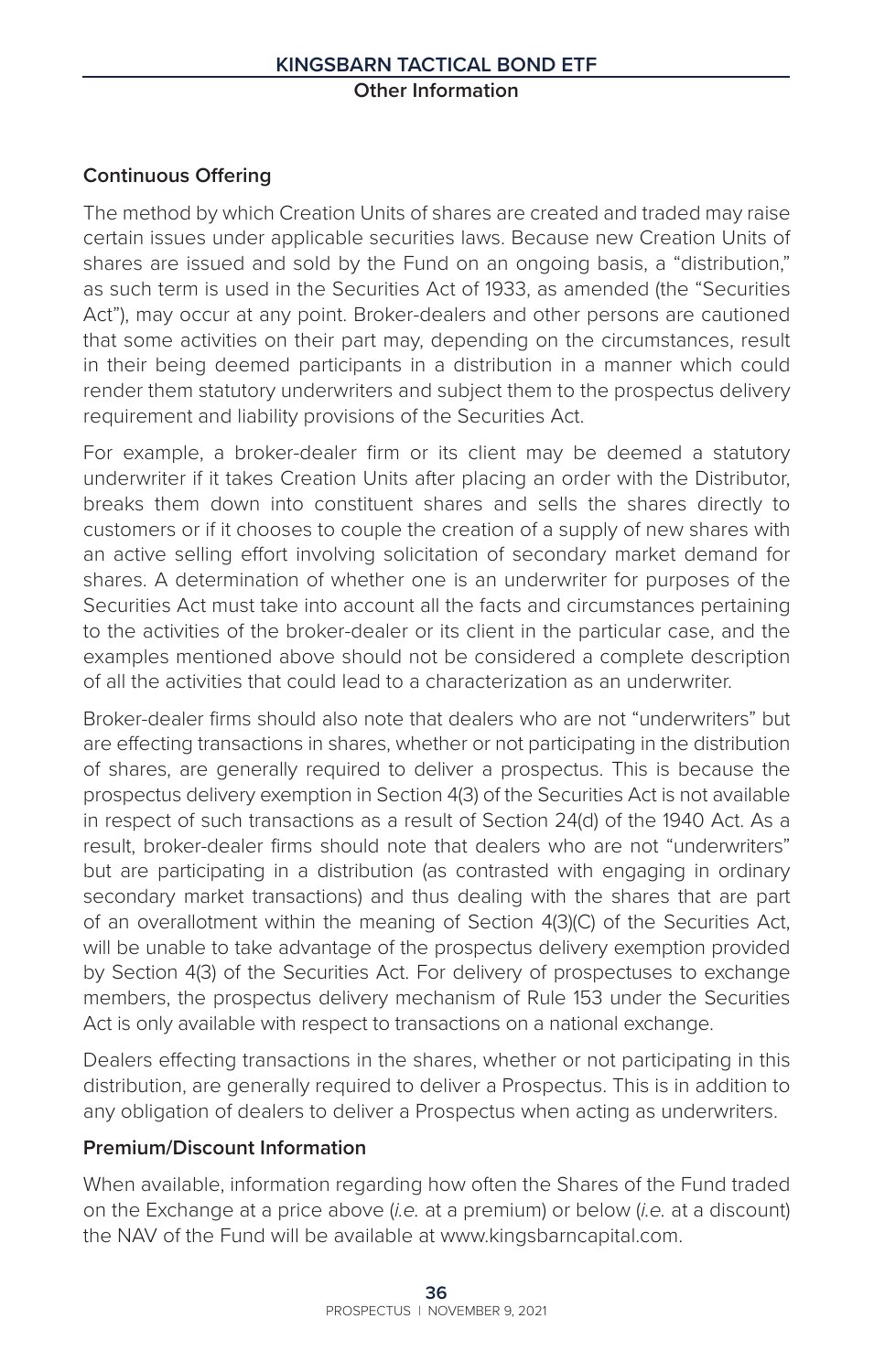# **Continuous Offering**

The method by which Creation Units of shares are created and traded may raise certain issues under applicable securities laws. Because new Creation Units of shares are issued and sold by the Fund on an ongoing basis, a "distribution," as such term is used in the Securities Act of 1933, as amended (the "Securities Act"), may occur at any point. Broker-dealers and other persons are cautioned that some activities on their part may, depending on the circumstances, result in their being deemed participants in a distribution in a manner which could render them statutory underwriters and subject them to the prospectus delivery requirement and liability provisions of the Securities Act.

For example, a broker-dealer firm or its client may be deemed a statutory underwriter if it takes Creation Units after placing an order with the Distributor, breaks them down into constituent shares and sells the shares directly to customers or if it chooses to couple the creation of a supply of new shares with an active selling effort involving solicitation of secondary market demand for shares. A determination of whether one is an underwriter for purposes of the Securities Act must take into account all the facts and circumstances pertaining to the activities of the broker-dealer or its client in the particular case, and the examples mentioned above should not be considered a complete description of all the activities that could lead to a characterization as an underwriter.

Broker-dealer firms should also note that dealers who are not "underwriters" but are effecting transactions in shares, whether or not participating in the distribution of shares, are generally required to deliver a prospectus. This is because the prospectus delivery exemption in Section 4(3) of the Securities Act is not available in respect of such transactions as a result of Section 24(d) of the 1940 Act. As a result, broker-dealer firms should note that dealers who are not "underwriters" but are participating in a distribution (as contrasted with engaging in ordinary secondary market transactions) and thus dealing with the shares that are part of an overallotment within the meaning of Section 4(3)(C) of the Securities Act, will be unable to take advantage of the prospectus delivery exemption provided by Section 4(3) of the Securities Act. For delivery of prospectuses to exchange members, the prospectus delivery mechanism of Rule 153 under the Securities Act is only available with respect to transactions on a national exchange.

Dealers effecting transactions in the shares, whether or not participating in this distribution, are generally required to deliver a Prospectus. This is in addition to any obligation of dealers to deliver a Prospectus when acting as underwriters.

#### **Premium/Discount Information**

When available, information regarding how often the Shares of the Fund traded on the Exchange at a price above (*i.e.* at a premium) or below (*i.e.* at a discount) the NAV of the Fund will be available at www.kingsbarncapital.com.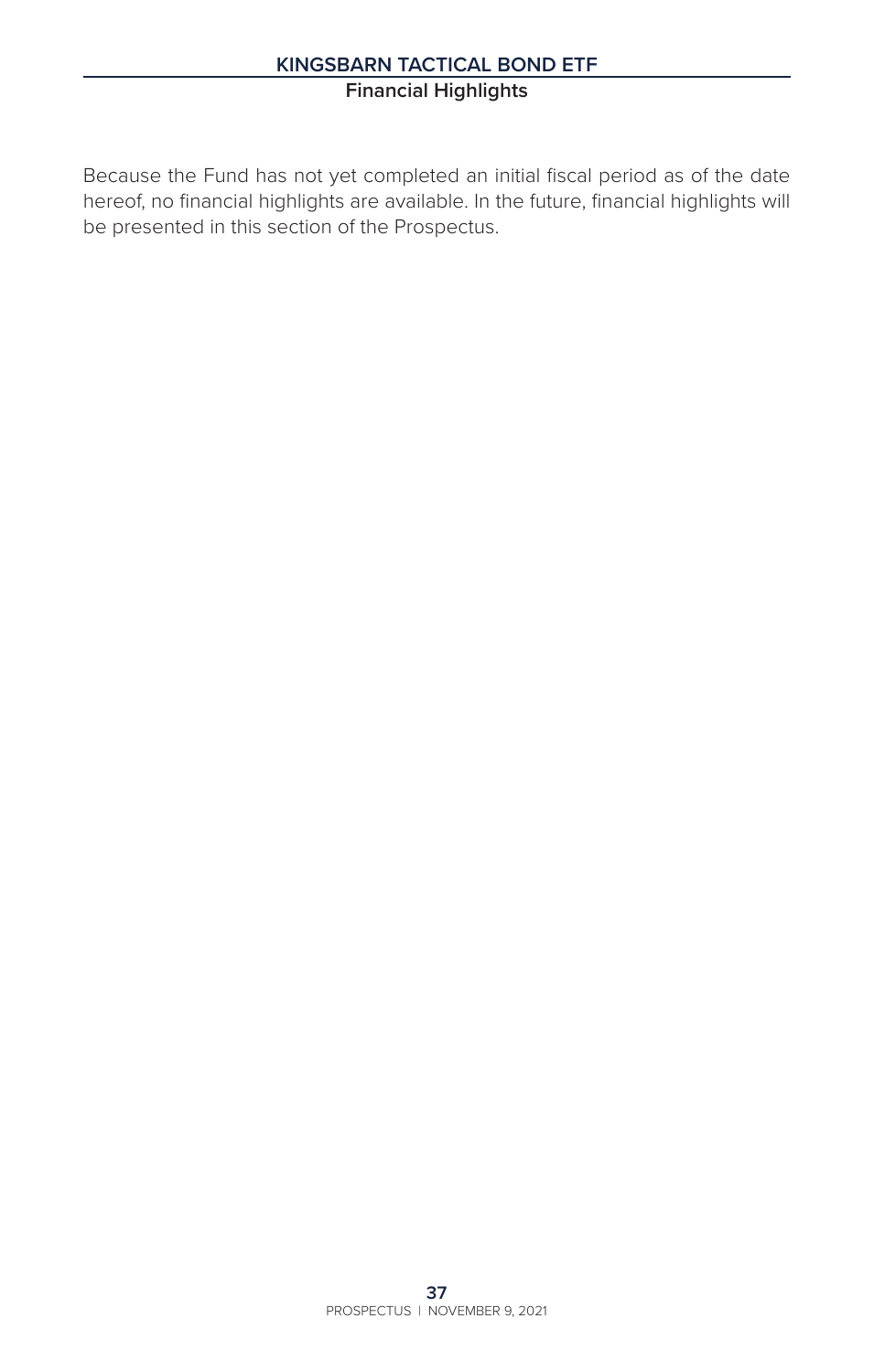# **Kingsbarn Tactical Bond ETF Financial Highlights**

Because the Fund has not yet completed an initial fiscal period as of the date hereof, no financial highlights are available. In the future, financial highlights will be presented in this section of the Prospectus.